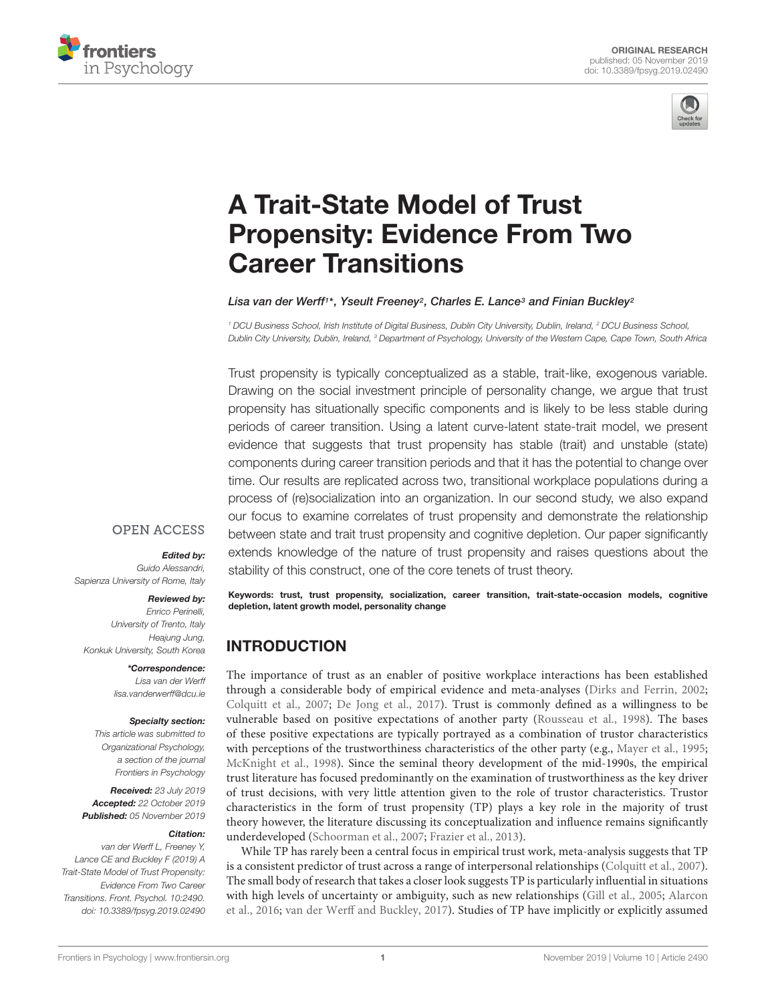



# A Trait-State Model of Trust [Propensity: Evidence From Two](https://www.frontiersin.org/articles/10.3389/fpsyg.2019.02490/full) Career Transitions

#### [Lisa van der Werff](http://loop.frontiersin.org/people/753928/overview)1\*, [Yseult Freeney](http://loop.frontiersin.org/people/796300/overview)<sup>2</sup>, [Charles E. Lance](http://loop.frontiersin.org/people/822091/overview)<sup>3</sup> and [Finian Buckley](http://loop.frontiersin.org/people/799102/overview)<sup>2</sup>

<sup>1</sup> DCU Business School, Irish Institute of Digital Business, Dublin City University, Dublin, Ireland, <sup>2</sup> DCU Business School, Dublin City University, Dublin, Ireland, <sup>3</sup> Department of Psychology, University of the Western Cape, Cape Town, South Africa

Trust propensity is typically conceptualized as a stable, trait-like, exogenous variable. Drawing on the social investment principle of personality change, we argue that trust propensity has situationally specific components and is likely to be less stable during periods of career transition. Using a latent curve-latent state-trait model, we present evidence that suggests that trust propensity has stable (trait) and unstable (state) components during career transition periods and that it has the potential to change over time. Our results are replicated across two, transitional workplace populations during a process of (re)socialization into an organization. In our second study, we also expand our focus to examine correlates of trust propensity and demonstrate the relationship between state and trait trust propensity and cognitive depletion. Our paper significantly extends knowledge of the nature of trust propensity and raises questions about the stability of this construct, one of the core tenets of trust theory.

### **OPEN ACCESS**

#### Edited by:

Guido Alessandri, Sapienza University of Rome, Italy

#### Reviewed by:

Enrico Perinelli, University of Trento, Italy Heajung Jung, Konkuk University, South Korea

### \*Correspondence:

Lisa van der Werff lisa.vanderwerff@dcu.ie

#### Specialty section:

This article was submitted to Organizational Psychology, a section of the journal Frontiers in Psychology

Received: 23 July 2019 Accepted: 22 October 2019 Published: 05 November 2019

#### Citation:

van der Werff L, Freeney Y, Lance CE and Buckley F (2019) A Trait-State Model of Trust Propensity: Evidence From Two Career Transitions. Front. Psychol. 10:2490. doi: [10.3389/fpsyg.2019.02490](https://doi.org/10.3389/fpsyg.2019.02490) Keywords: trust, trust propensity, socialization, career transition, trait-state-occasion models, cognitive depletion, latent growth model, personality change

### INTRODUCTION

The importance of trust as an enabler of positive workplace interactions has been established through a considerable body of empirical evidence and meta-analyses [\(Dirks and Ferrin,](#page-11-0) [2002;](#page-11-0) [Colquitt et al.,](#page-11-1) [2007;](#page-11-1) [De Jong et al.,](#page-11-2) [2017\)](#page-11-2). Trust is commonly defined as a willingness to be vulnerable based on positive expectations of another party [\(Rousseau et al.,](#page-12-0) [1998\)](#page-12-0). The bases of these positive expectations are typically portrayed as a combination of trustor characteristics with perceptions of the trustworthiness characteristics of the other party (e.g., [Mayer et al.,](#page-12-1) [1995;](#page-12-1) [McKnight et al.,](#page-12-2) [1998\)](#page-12-2). Since the seminal theory development of the mid-1990s, the empirical trust literature has focused predominantly on the examination of trustworthiness as the key driver of trust decisions, with very little attention given to the role of trustor characteristics. Trustor characteristics in the form of trust propensity (TP) plays a key role in the majority of trust theory however, the literature discussing its conceptualization and influence remains significantly underdeveloped [\(Schoorman et al.,](#page-12-3) [2007;](#page-12-3) [Frazier et al.,](#page-11-3) [2013\)](#page-11-3).

While TP has rarely been a central focus in empirical trust work, meta-analysis suggests that TP is a consistent predictor of trust across a range of interpersonal relationships [\(Colquitt et al.,](#page-11-1) [2007\)](#page-11-1). The small body of research that takes a closer look suggests TP is particularly influential in situations with high levels of uncertainty or ambiguity, such as new relationships [\(Gill et al.,](#page-11-4) [2005;](#page-11-4) [Alarcon](#page-10-0) [et al.,](#page-10-0) [2016;](#page-10-0) [van der Werff and Buckley,](#page-13-0) [2017\)](#page-13-0). Studies of TP have implicitly or explicitly assumed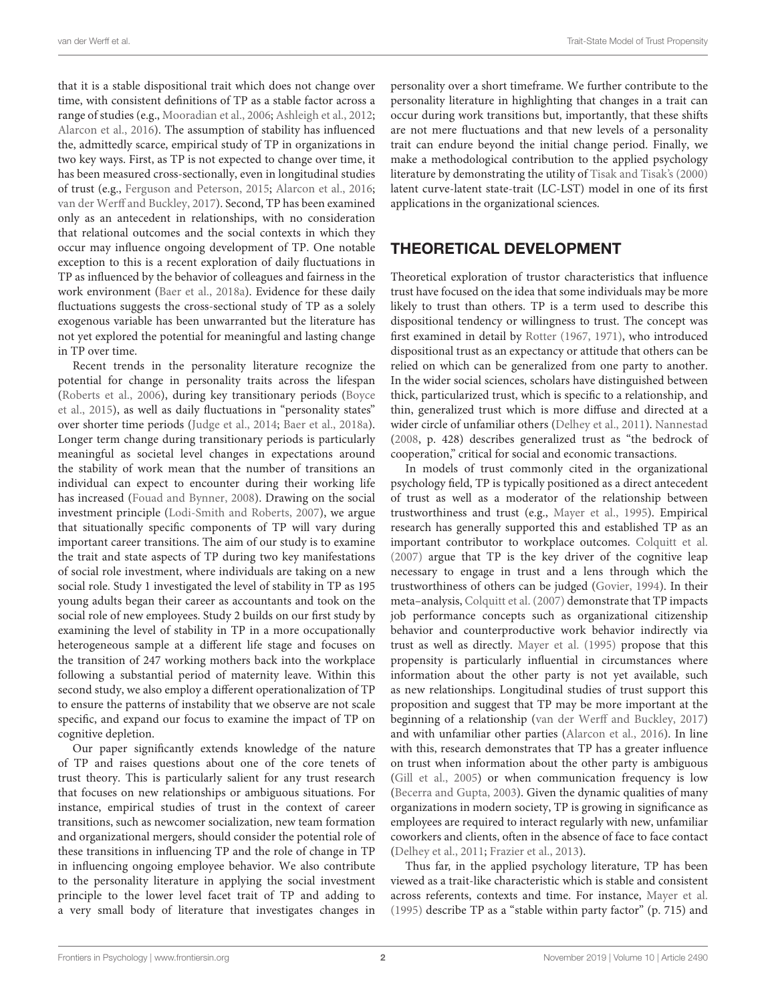that it is a stable dispositional trait which does not change over time, with consistent definitions of TP as a stable factor across a range of studies (e.g., [Mooradian et al.,](#page-12-4) [2006;](#page-12-4) [Ashleigh et al.,](#page-11-5) [2012;](#page-11-5) [Alarcon et al.,](#page-10-0) [2016\)](#page-10-0). The assumption of stability has influenced the, admittedly scarce, empirical study of TP in organizations in two key ways. First, as TP is not expected to change over time, it has been measured cross-sectionally, even in longitudinal studies of trust (e.g., [Ferguson and Peterson,](#page-11-6) [2015;](#page-11-6) [Alarcon et al.,](#page-10-0) [2016;](#page-10-0) [van der Werff and Buckley,](#page-13-0) [2017\)](#page-13-0). Second, TP has been examined only as an antecedent in relationships, with no consideration that relational outcomes and the social contexts in which they occur may influence ongoing development of TP. One notable exception to this is a recent exploration of daily fluctuations in TP as influenced by the behavior of colleagues and fairness in the work environment [\(Baer et al.,](#page-11-7) [2018a\)](#page-11-7). Evidence for these daily fluctuations suggests the cross-sectional study of TP as a solely exogenous variable has been unwarranted but the literature has not yet explored the potential for meaningful and lasting change in TP over time.

Recent trends in the personality literature recognize the potential for change in personality traits across the lifespan [\(Roberts et al.,](#page-12-5) [2006\)](#page-12-5), during key transitionary periods [\(Boyce](#page-11-8) [et al.,](#page-11-8) [2015\)](#page-11-8), as well as daily fluctuations in "personality states" over shorter time periods [\(Judge et al.,](#page-12-6) [2014;](#page-12-6) [Baer et al.,](#page-11-7) [2018a\)](#page-11-7). Longer term change during transitionary periods is particularly meaningful as societal level changes in expectations around the stability of work mean that the number of transitions an individual can expect to encounter during their working life has increased [\(Fouad and Bynner,](#page-11-9) [2008\)](#page-11-9). Drawing on the social investment principle [\(Lodi-Smith and Roberts,](#page-12-7) [2007\)](#page-12-7), we argue that situationally specific components of TP will vary during important career transitions. The aim of our study is to examine the trait and state aspects of TP during two key manifestations of social role investment, where individuals are taking on a new social role. Study 1 investigated the level of stability in TP as 195 young adults began their career as accountants and took on the social role of new employees. Study 2 builds on our first study by examining the level of stability in TP in a more occupationally heterogeneous sample at a different life stage and focuses on the transition of 247 working mothers back into the workplace following a substantial period of maternity leave. Within this second study, we also employ a different operationalization of TP to ensure the patterns of instability that we observe are not scale specific, and expand our focus to examine the impact of TP on cognitive depletion.

Our paper significantly extends knowledge of the nature of TP and raises questions about one of the core tenets of trust theory. This is particularly salient for any trust research that focuses on new relationships or ambiguous situations. For instance, empirical studies of trust in the context of career transitions, such as newcomer socialization, new team formation and organizational mergers, should consider the potential role of these transitions in influencing TP and the role of change in TP in influencing ongoing employee behavior. We also contribute to the personality literature in applying the social investment principle to the lower level facet trait of TP and adding to a very small body of literature that investigates changes in

personality over a short timeframe. We further contribute to the personality literature in highlighting that changes in a trait can occur during work transitions but, importantly, that these shifts are not mere fluctuations and that new levels of a personality trait can endure beyond the initial change period. Finally, we make a methodological contribution to the applied psychology literature by demonstrating the utility of [Tisak and Tisak'](#page-13-1)s [\(2000\)](#page-13-1) latent curve-latent state-trait (LC-LST) model in one of its first applications in the organizational sciences.

### THEORETICAL DEVELOPMENT

Theoretical exploration of trustor characteristics that influence trust have focused on the idea that some individuals may be more likely to trust than others. TP is a term used to describe this dispositional tendency or willingness to trust. The concept was first examined in detail by [Rotter](#page-12-8) [\(1967,](#page-12-8) [1971\)](#page-12-9), who introduced dispositional trust as an expectancy or attitude that others can be relied on which can be generalized from one party to another. In the wider social sciences, scholars have distinguished between thick, particularized trust, which is specific to a relationship, and thin, generalized trust which is more diffuse and directed at a wider circle of unfamiliar others [\(Delhey et al.,](#page-11-10) [2011\)](#page-11-10). [Nannestad](#page-12-10) [\(2008,](#page-12-10) p. 428) describes generalized trust as "the bedrock of cooperation," critical for social and economic transactions.

In models of trust commonly cited in the organizational psychology field, TP is typically positioned as a direct antecedent of trust as well as a moderator of the relationship between trustworthiness and trust (e.g., [Mayer et al.,](#page-12-1) [1995\)](#page-12-1). Empirical research has generally supported this and established TP as an important contributor to workplace outcomes. [Colquitt et al.](#page-11-1) [\(2007\)](#page-11-1) argue that TP is the key driver of the cognitive leap necessary to engage in trust and a lens through which the trustworthiness of others can be judged [\(Govier,](#page-11-11) [1994\)](#page-11-11). In their meta–analysis, [Colquitt et al.](#page-11-1) [\(2007\)](#page-11-1) demonstrate that TP impacts job performance concepts such as organizational citizenship behavior and counterproductive work behavior indirectly via trust as well as directly. [Mayer et al.](#page-12-1) [\(1995\)](#page-12-1) propose that this propensity is particularly influential in circumstances where information about the other party is not yet available, such as new relationships. Longitudinal studies of trust support this proposition and suggest that TP may be more important at the beginning of a relationship [\(van der Werff and Buckley,](#page-13-0) [2017\)](#page-13-0) and with unfamiliar other parties [\(Alarcon et al.,](#page-10-0) [2016\)](#page-10-0). In line with this, research demonstrates that TP has a greater influence on trust when information about the other party is ambiguous [\(Gill et al.,](#page-11-4) [2005\)](#page-11-4) or when communication frequency is low [\(Becerra and Gupta,](#page-11-12) [2003\)](#page-11-12). Given the dynamic qualities of many organizations in modern society, TP is growing in significance as employees are required to interact regularly with new, unfamiliar coworkers and clients, often in the absence of face to face contact [\(Delhey et al.,](#page-11-10) [2011;](#page-11-10) [Frazier et al.,](#page-11-3) [2013\)](#page-11-3).

Thus far, in the applied psychology literature, TP has been viewed as a trait-like characteristic which is stable and consistent across referents, contexts and time. For instance, [Mayer et al.](#page-12-1) [\(1995\)](#page-12-1) describe TP as a "stable within party factor" (p. 715) and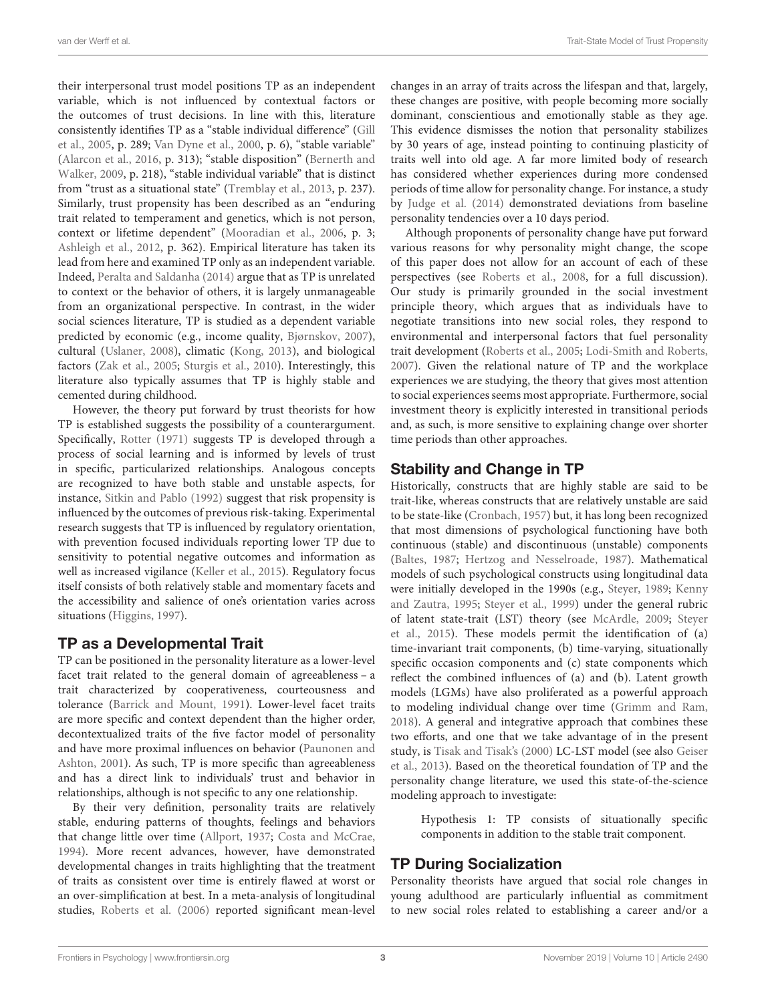their interpersonal trust model positions TP as an independent variable, which is not influenced by contextual factors or the outcomes of trust decisions. In line with this, literature consistently identifies TP as a "stable individual difference" [\(Gill](#page-11-4) [et al.,](#page-11-4) [2005,](#page-11-4) p. 289; [Van Dyne et al.,](#page-13-2) [2000,](#page-13-2) p. 6), "stable variable" [\(Alarcon et al.,](#page-10-0) [2016,](#page-10-0) p. 313); "stable disposition" [\(Bernerth and](#page-11-13) [Walker,](#page-11-13) [2009,](#page-11-13) p. 218), "stable individual variable" that is distinct from "trust as a situational state" [\(Tremblay et al.,](#page-13-3) [2013,](#page-13-3) p. 237). Similarly, trust propensity has been described as an "enduring trait related to temperament and genetics, which is not person, context or lifetime dependent" [\(Mooradian et al.,](#page-12-4) [2006,](#page-12-4) p. 3; [Ashleigh et al.,](#page-11-5) [2012,](#page-11-5) p. 362). Empirical literature has taken its lead from here and examined TP only as an independent variable. Indeed, [Peralta and Saldanha](#page-12-11) [\(2014\)](#page-12-11) argue that as TP is unrelated to context or the behavior of others, it is largely unmanageable from an organizational perspective. In contrast, in the wider social sciences literature, TP is studied as a dependent variable predicted by economic (e.g., income quality, [Bjørnskov,](#page-11-14) [2007\)](#page-11-14), cultural [\(Uslaner,](#page-13-4) [2008\)](#page-13-4), climatic [\(Kong,](#page-12-12) [2013\)](#page-12-12), and biological factors [\(Zak et al.,](#page-13-5) [2005;](#page-13-5) [Sturgis et al.,](#page-13-6) [2010\)](#page-13-6). Interestingly, this literature also typically assumes that TP is highly stable and cemented during childhood.

However, the theory put forward by trust theorists for how TP is established suggests the possibility of a counterargument. Specifically, [Rotter](#page-12-9) [\(1971\)](#page-12-9) suggests TP is developed through a process of social learning and is informed by levels of trust in specific, particularized relationships. Analogous concepts are recognized to have both stable and unstable aspects, for instance, [Sitkin and Pablo](#page-12-13) [\(1992\)](#page-12-13) suggest that risk propensity is influenced by the outcomes of previous risk-taking. Experimental research suggests that TP is influenced by regulatory orientation, with prevention focused individuals reporting lower TP due to sensitivity to potential negative outcomes and information as well as increased vigilance [\(Keller et al.,](#page-12-14) [2015\)](#page-12-14). Regulatory focus itself consists of both relatively stable and momentary facets and the accessibility and salience of one's orientation varies across situations [\(Higgins,](#page-11-15) [1997\)](#page-11-15).

### TP as a Developmental Trait

TP can be positioned in the personality literature as a lower-level facet trait related to the general domain of agreeableness – a trait characterized by cooperativeness, courteousness and tolerance [\(Barrick and Mount,](#page-11-16) [1991\)](#page-11-16). Lower-level facet traits are more specific and context dependent than the higher order, decontextualized traits of the five factor model of personality and have more proximal influences on behavior [\(Paunonen and](#page-12-15) [Ashton,](#page-12-15) [2001\)](#page-12-15). As such, TP is more specific than agreeableness and has a direct link to individuals' trust and behavior in relationships, although is not specific to any one relationship.

By their very definition, personality traits are relatively stable, enduring patterns of thoughts, feelings and behaviors that change little over time [\(Allport,](#page-11-17) [1937;](#page-11-17) [Costa and McCrae,](#page-11-18) [1994\)](#page-11-18). More recent advances, however, have demonstrated developmental changes in traits highlighting that the treatment of traits as consistent over time is entirely flawed at worst or an over-simplification at best. In a meta-analysis of longitudinal studies, [Roberts et al.](#page-12-5) [\(2006\)](#page-12-5) reported significant mean-level

changes in an array of traits across the lifespan and that, largely, these changes are positive, with people becoming more socially dominant, conscientious and emotionally stable as they age. This evidence dismisses the notion that personality stabilizes by 30 years of age, instead pointing to continuing plasticity of traits well into old age. A far more limited body of research has considered whether experiences during more condensed periods of time allow for personality change. For instance, a study by [Judge et al.](#page-12-6) [\(2014\)](#page-12-6) demonstrated deviations from baseline personality tendencies over a 10 days period.

Although proponents of personality change have put forward various reasons for why personality might change, the scope of this paper does not allow for an account of each of these perspectives (see [Roberts et al.,](#page-12-16) [2008,](#page-12-16) for a full discussion). Our study is primarily grounded in the social investment principle theory, which argues that as individuals have to negotiate transitions into new social roles, they respond to environmental and interpersonal factors that fuel personality trait development [\(Roberts et al.,](#page-12-17) [2005;](#page-12-17) [Lodi-Smith and Roberts,](#page-12-7) [2007\)](#page-12-7). Given the relational nature of TP and the workplace experiences we are studying, the theory that gives most attention to social experiences seems most appropriate. Furthermore, social investment theory is explicitly interested in transitional periods and, as such, is more sensitive to explaining change over shorter time periods than other approaches.

### Stability and Change in TP

Historically, constructs that are highly stable are said to be trait-like, whereas constructs that are relatively unstable are said to be state-like [\(Cronbach,](#page-11-19) [1957\)](#page-11-19) but, it has long been recognized that most dimensions of psychological functioning have both continuous (stable) and discontinuous (unstable) components [\(Baltes,](#page-11-20) [1987;](#page-11-20) [Hertzog and Nesselroade,](#page-11-21) [1987\)](#page-11-21). Mathematical models of such psychological constructs using longitudinal data were initially developed in the 1990s (e.g., [Steyer,](#page-12-18) [1989;](#page-12-18) [Kenny](#page-12-19) [and Zautra,](#page-12-19) [1995;](#page-12-19) [Steyer et al.,](#page-13-7) [1999\)](#page-13-7) under the general rubric of latent state-trait (LST) theory (see [McArdle,](#page-12-20) [2009;](#page-12-20) [Steyer](#page-13-8) [et al.,](#page-13-8) [2015\)](#page-13-8). These models permit the identification of (a) time-invariant trait components, (b) time-varying, situationally specific occasion components and (c) state components which reflect the combined influences of (a) and (b). Latent growth models (LGMs) have also proliferated as a powerful approach to modeling individual change over time [\(Grimm and Ram,](#page-11-22) [2018\)](#page-11-22). A general and integrative approach that combines these two efforts, and one that we take advantage of in the present study, is [Tisak and Tisak'](#page-13-1)s [\(2000\)](#page-13-1) LC-LST model (see also [Geiser](#page-11-23) [et al.,](#page-11-23) [2013\)](#page-11-23). Based on the theoretical foundation of TP and the personality change literature, we used this state-of-the-science modeling approach to investigate:

Hypothesis 1: TP consists of situationally specific components in addition to the stable trait component.

### TP During Socialization

Personality theorists have argued that social role changes in young adulthood are particularly influential as commitment to new social roles related to establishing a career and/or a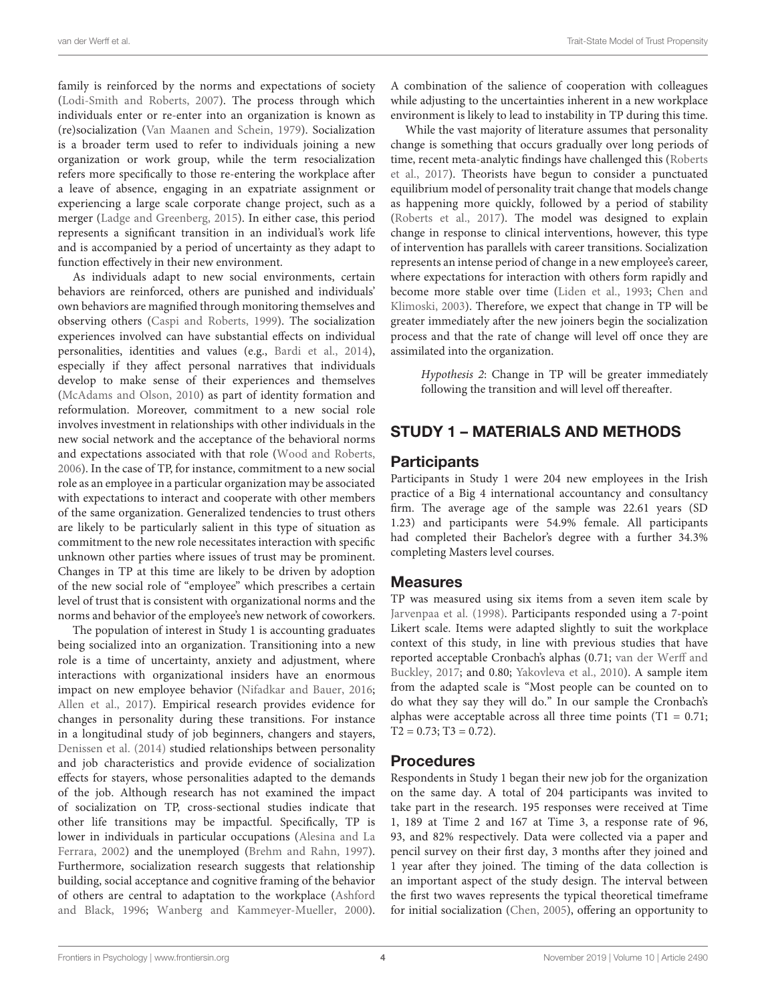family is reinforced by the norms and expectations of society [\(Lodi-Smith and Roberts,](#page-12-7) [2007\)](#page-12-7). The process through which individuals enter or re-enter into an organization is known as (re)socialization [\(Van Maanen and Schein,](#page-13-9) [1979\)](#page-13-9). Socialization is a broader term used to refer to individuals joining a new organization or work group, while the term resocialization refers more specifically to those re-entering the workplace after a leave of absence, engaging in an expatriate assignment or experiencing a large scale corporate change project, such as a merger [\(Ladge and Greenberg,](#page-12-21) [2015\)](#page-12-21). In either case, this period represents a significant transition in an individual's work life and is accompanied by a period of uncertainty as they adapt to function effectively in their new environment.

As individuals adapt to new social environments, certain behaviors are reinforced, others are punished and individuals' own behaviors are magnified through monitoring themselves and observing others [\(Caspi and Roberts,](#page-11-24) [1999\)](#page-11-24). The socialization experiences involved can have substantial effects on individual personalities, identities and values (e.g., [Bardi et al.,](#page-11-25) [2014\)](#page-11-25), especially if they affect personal narratives that individuals develop to make sense of their experiences and themselves [\(McAdams and Olson,](#page-12-22) [2010\)](#page-12-22) as part of identity formation and reformulation. Moreover, commitment to a new social role involves investment in relationships with other individuals in the new social network and the acceptance of the behavioral norms and expectations associated with that role [\(Wood and Roberts,](#page-13-10) [2006\)](#page-13-10). In the case of TP, for instance, commitment to a new social role as an employee in a particular organization may be associated with expectations to interact and cooperate with other members of the same organization. Generalized tendencies to trust others are likely to be particularly salient in this type of situation as commitment to the new role necessitates interaction with specific unknown other parties where issues of trust may be prominent. Changes in TP at this time are likely to be driven by adoption of the new social role of "employee" which prescribes a certain level of trust that is consistent with organizational norms and the norms and behavior of the employee's new network of coworkers.

The population of interest in Study 1 is accounting graduates being socialized into an organization. Transitioning into a new role is a time of uncertainty, anxiety and adjustment, where interactions with organizational insiders have an enormous impact on new employee behavior [\(Nifadkar and Bauer,](#page-12-23) [2016;](#page-12-23) [Allen et al.,](#page-11-26) [2017\)](#page-11-26). Empirical research provides evidence for changes in personality during these transitions. For instance in a longitudinal study of job beginners, changers and stayers, [Denissen et al.](#page-11-27) [\(2014\)](#page-11-27) studied relationships between personality and job characteristics and provide evidence of socialization effects for stayers, whose personalities adapted to the demands of the job. Although research has not examined the impact of socialization on TP, cross-sectional studies indicate that other life transitions may be impactful. Specifically, TP is lower in individuals in particular occupations [\(Alesina and La](#page-10-1) [Ferrara,](#page-10-1) [2002\)](#page-10-1) and the unemployed [\(Brehm and Rahn,](#page-11-28) [1997\)](#page-11-28). Furthermore, socialization research suggests that relationship building, social acceptance and cognitive framing of the behavior of others are central to adaptation to the workplace [\(Ashford](#page-11-29) [and Black,](#page-11-29) [1996;](#page-11-29) [Wanberg and Kammeyer-Mueller,](#page-13-11) [2000\)](#page-13-11).

A combination of the salience of cooperation with colleagues while adjusting to the uncertainties inherent in a new workplace environment is likely to lead to instability in TP during this time.

While the vast majority of literature assumes that personality change is something that occurs gradually over long periods of time, recent meta-analytic findings have challenged this [\(Roberts](#page-12-24) [et al.,](#page-12-24) [2017\)](#page-12-24). Theorists have begun to consider a punctuated equilibrium model of personality trait change that models change as happening more quickly, followed by a period of stability [\(Roberts et al.,](#page-12-24) [2017\)](#page-12-24). The model was designed to explain change in response to clinical interventions, however, this type of intervention has parallels with career transitions. Socialization represents an intense period of change in a new employee's career, where expectations for interaction with others form rapidly and become more stable over time [\(Liden et al.,](#page-12-25) [1993;](#page-12-25) [Chen and](#page-11-30) [Klimoski,](#page-11-30) [2003\)](#page-11-30). Therefore, we expect that change in TP will be greater immediately after the new joiners begin the socialization process and that the rate of change will level off once they are assimilated into the organization.

Hypothesis 2: Change in TP will be greater immediately following the transition and will level off thereafter.

# STUDY 1 – MATERIALS AND METHODS

### **Participants**

Participants in Study 1 were 204 new employees in the Irish practice of a Big 4 international accountancy and consultancy firm. The average age of the sample was 22.61 years (SD 1.23) and participants were 54.9% female. All participants had completed their Bachelor's degree with a further 34.3% completing Masters level courses.

### **Measures**

TP was measured using six items from a seven item scale by [Jarvenpaa et al.](#page-12-26) [\(1998\)](#page-12-26). Participants responded using a 7-point Likert scale. Items were adapted slightly to suit the workplace context of this study, in line with previous studies that have reported acceptable Cronbach's alphas (0.71; [van der Werff and](#page-13-0) [Buckley,](#page-13-0) [2017;](#page-13-0) and 0.80; [Yakovleva et al.,](#page-13-12) [2010\)](#page-13-12). A sample item from the adapted scale is "Most people can be counted on to do what they say they will do." In our sample the Cronbach's alphas were acceptable across all three time points  $(T1 = 0.71)$ ;  $T2 = 0.73$ ;  $T3 = 0.72$ ).

### Procedures

Respondents in Study 1 began their new job for the organization on the same day. A total of 204 participants was invited to take part in the research. 195 responses were received at Time 1, 189 at Time 2 and 167 at Time 3, a response rate of 96, 93, and 82% respectively. Data were collected via a paper and pencil survey on their first day, 3 months after they joined and 1 year after they joined. The timing of the data collection is an important aspect of the study design. The interval between the first two waves represents the typical theoretical timeframe for initial socialization [\(Chen,](#page-11-31) [2005\)](#page-11-31), offering an opportunity to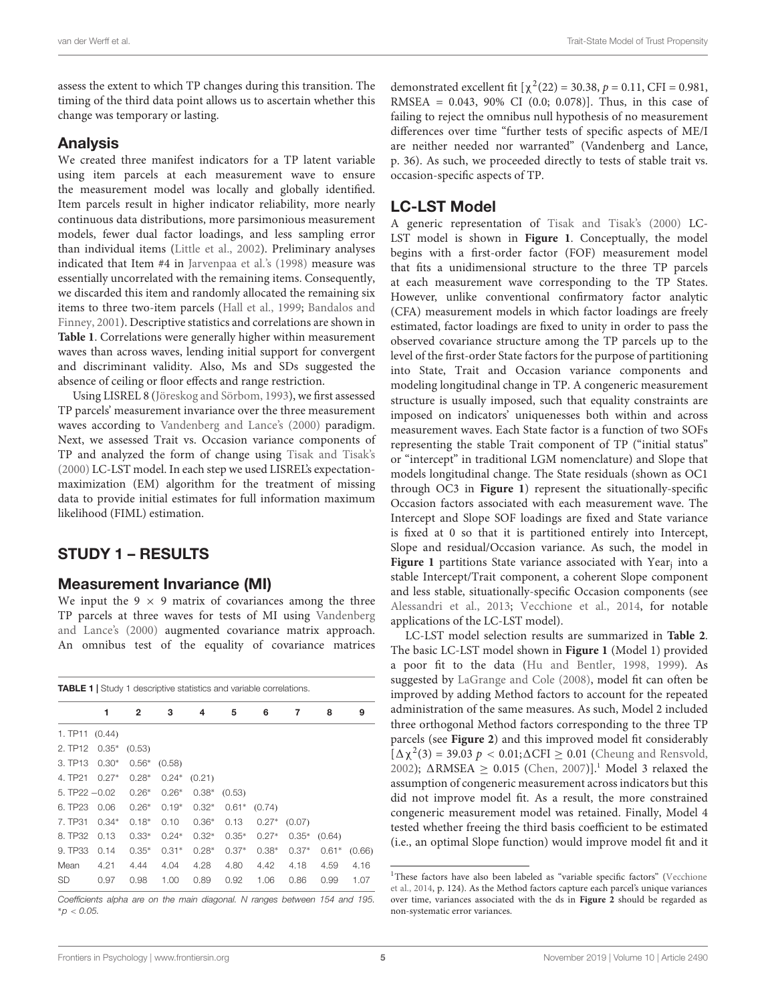assess the extent to which TP changes during this transition. The timing of the third data point allows us to ascertain whether this change was temporary or lasting.

#### Analysis

We created three manifest indicators for a TP latent variable using item parcels at each measurement wave to ensure the measurement model was locally and globally identified. Item parcels result in higher indicator reliability, more nearly continuous data distributions, more parsimonious measurement models, fewer dual factor loadings, and less sampling error than individual items [\(Little et al.,](#page-12-27) [2002\)](#page-12-27). Preliminary analyses indicated that Item #4 in [Jarvenpaa et al.'](#page-12-26)s [\(1998\)](#page-12-26) measure was essentially uncorrelated with the remaining items. Consequently, we discarded this item and randomly allocated the remaining six items to three two-item parcels [\(Hall et al.,](#page-11-32) [1999;](#page-11-32) [Bandalos and](#page-11-33) [Finney,](#page-11-33) [2001\)](#page-11-33). Descriptive statistics and correlations are shown in **[Table 1](#page-4-0)**. Correlations were generally higher within measurement waves than across waves, lending initial support for convergent and discriminant validity. Also, Ms and SDs suggested the absence of ceiling or floor effects and range restriction.

Using LISREL 8 [\(Jöreskog and Sörbom,](#page-12-28) [1993\)](#page-12-28), we first assessed TP parcels' measurement invariance over the three measurement waves according to [Vandenberg and Lance's](#page-13-13) [\(2000\)](#page-13-13) paradigm. Next, we assessed Trait vs. Occasion variance components of TP and analyzed the form of change using [Tisak and Tisak'](#page-13-1)s [\(2000\)](#page-13-1) LC-LST model. In each step we used LISREL's expectationmaximization (EM) algorithm for the treatment of missing data to provide initial estimates for full information maximum likelihood (FIML) estimation.

### STUDY 1 – RESULTS

#### Measurement Invariance (MI)

We input the  $9 \times 9$  matrix of covariances among the three TP parcels at three waves for tests of MI using [Vandenberg](#page-13-13) [and Lance's](#page-13-13) [\(2000\)](#page-13-13) augmented covariance matrix approach. An omnibus test of the equality of covariance matrices

<span id="page-4-0"></span>

|                  | 1       | $\overline{2}$ | 3       | 4       | 5       | 6       | 7       | 8       | 9      |
|------------------|---------|----------------|---------|---------|---------|---------|---------|---------|--------|
| 1. TP11          | (0.44)  |                |         |         |         |         |         |         |        |
| 2. TP12          | $0.35*$ | (0.53)         |         |         |         |         |         |         |        |
| 3. TP13          | $0.30*$ | $0.56*$        | (0.58)  |         |         |         |         |         |        |
| 4. TP21          | $0.27*$ | $0.28*$        | $0.24*$ | (0.21)  |         |         |         |         |        |
| $5. TP22 - 0.02$ |         | $0.26*$        | $0.26*$ | $0.38*$ | (0.53)  |         |         |         |        |
| 6. TP23          | 0.06    | $0.26*$        | $0.19*$ | $0.32*$ | $0.61*$ | (0.74)  |         |         |        |
| 7. TP31          | $0.34*$ | $0.18*$        | 0.10    | $0.36*$ | 0.13    | $0.27*$ | (0.07)  |         |        |
| 8. TP32          | 0.13    | $0.33*$        | $0.24*$ | $0.32*$ | $0.35*$ | $0.27*$ | $0.35*$ | (0.64)  |        |
| 9. TP33          | 0.14    | $0.35*$        | $0.31*$ | $0.28*$ | $0.37*$ | $0.38*$ | $0.37*$ | $0.61*$ | (0.66) |
| Mean             | 4.21    | 4.44           | 4.04    | 4.28    | 4.80    | 4.42    | 4.18    | 4.59    | 4.16   |
| <b>SD</b>        | 0.97    | 0.98           | 1.00    | 0.89    | 0.92    | 1.06    | 0.86    | 0.99    | 1.07   |

Coefficients alpha are on the main diagonal. N ranges between 154 and 195. <sup>∗</sup>p < 0.05.

demonstrated excellent fit  $[\chi^2(22) = 30.38, p = 0.11, CFI = 0.981,$ RMSEA =  $0.043$ ,  $90\%$  CI (0.0; 0.078)]. Thus, in this case of failing to reject the omnibus null hypothesis of no measurement differences over time "further tests of specific aspects of ME/I are neither needed nor warranted" (Vandenberg and Lance, p. 36). As such, we proceeded directly to tests of stable trait vs. occasion-specific aspects of TP.

### LC-LST Model

A generic representation of [Tisak and Tisak'](#page-13-1)s [\(2000\)](#page-13-1) LC-LST model is shown in **[Figure 1](#page-5-0)**. Conceptually, the model begins with a first-order factor (FOF) measurement model that fits a unidimensional structure to the three TP parcels at each measurement wave corresponding to the TP States. However, unlike conventional confirmatory factor analytic (CFA) measurement models in which factor loadings are freely estimated, factor loadings are fixed to unity in order to pass the observed covariance structure among the TP parcels up to the level of the first-order State factors for the purpose of partitioning into State, Trait and Occasion variance components and modeling longitudinal change in TP. A congeneric measurement structure is usually imposed, such that equality constraints are imposed on indicators' uniquenesses both within and across measurement waves. Each State factor is a function of two SOFs representing the stable Trait component of TP ("initial status" or "intercept" in traditional LGM nomenclature) and Slope that models longitudinal change. The State residuals (shown as OC1 through OC3 in **[Figure 1](#page-5-0)**) represent the situationally-specific Occasion factors associated with each measurement wave. The Intercept and Slope SOF loadings are fixed and State variance is fixed at 0 so that it is partitioned entirely into Intercept, Slope and residual/Occasion variance. As such, the model in [Figure 1](#page-5-0) partitions State variance associated with Year<sub>j</sub> into a stable Intercept/Trait component, a coherent Slope component and less stable, situationally-specific Occasion components (see [Alessandri et al.,](#page-11-34) [2013;](#page-11-34) [Vecchione et al.,](#page-13-14) [2014,](#page-13-14) for notable applications of the LC-LST model).

LC-LST model selection results are summarized in **[Table 2](#page-5-1)**. The basic LC-LST model shown in **[Figure 1](#page-5-0)** (Model 1) provided a poor fit to the data [\(Hu and Bentler,](#page-11-35) [1998,](#page-11-35) [1999\)](#page-11-36). As suggested by [LaGrange and Cole](#page-12-29) [\(2008\)](#page-12-29), model fit can often be improved by adding Method factors to account for the repeated administration of the same measures. As such, Model 2 included three orthogonal Method factors corresponding to the three TP parcels (see **[Figure 2](#page-5-2)**) and this improved model fit considerably [ $\Delta \chi^2(3) = 39.03$   $p < 0.01$ ;  $\Delta$ CFI  $\geq 0.01$  [\(Cheung and Rensvold,](#page-11-37) [2002\)](#page-11-37);  $\triangle$ RMSEA  $\geq$  0.015 [\(Chen,](#page-11-38) [2007\)](#page-11-38)].<sup>[1](#page-4-1)</sup> Model 3 relaxed the assumption of congeneric measurement across indicators but this did not improve model fit. As a result, the more constrained congeneric measurement model was retained. Finally, Model 4 tested whether freeing the third basis coefficient to be estimated (i.e., an optimal Slope function) would improve model fit and it

<span id="page-4-1"></span><sup>&</sup>lt;sup>1</sup>These factors have also been labeled as "variable specific factors" [\(Vecchione](#page-13-14) [et al.,](#page-13-14) [2014,](#page-13-14) p. 124). As the Method factors capture each parcel's unique variances over time, variances associated with the ds in **[Figure 2](#page-5-2)** should be regarded as non-systematic error variances.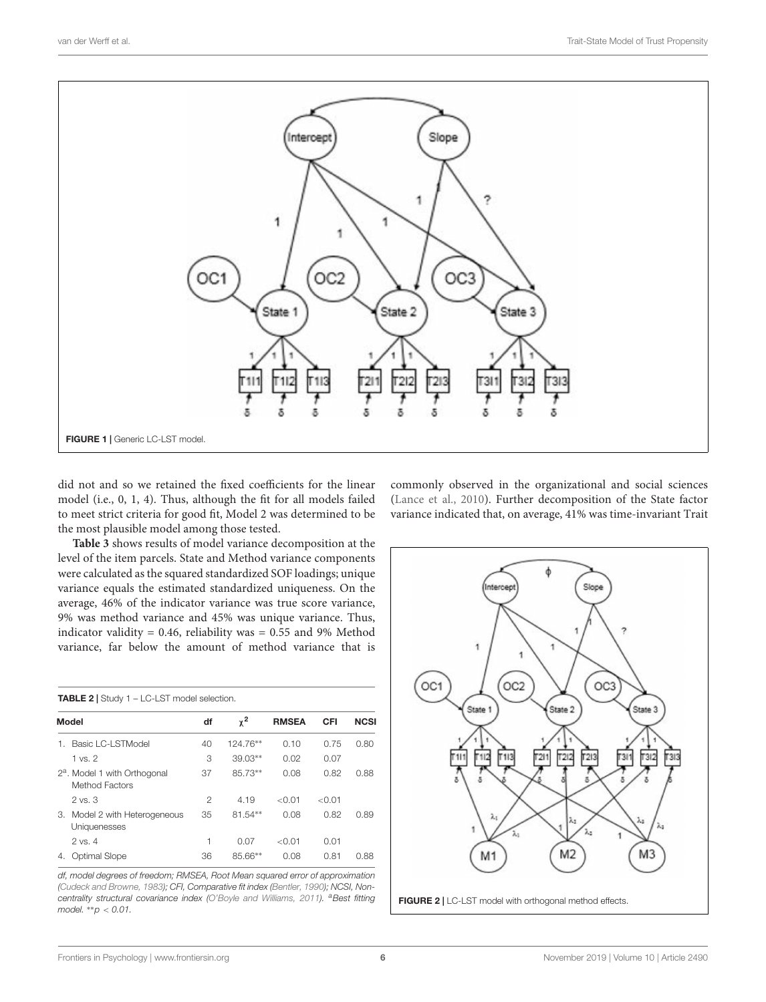

<span id="page-5-0"></span>did not and so we retained the fixed coefficients for the linear model (i.e., 0, 1, 4). Thus, although the fit for all models failed to meet strict criteria for good fit, Model 2 was determined to be the most plausible model among those tested.

**[Table 3](#page-6-0)** shows results of model variance decomposition at the level of the item parcels. State and Method variance components were calculated as the squared standardized SOF loadings; unique variance equals the estimated standardized uniqueness. On the average, 46% of the indicator variance was true score variance, 9% was method variance and 45% was unique variance. Thus, indicator validity =  $0.46$ , reliability was =  $0.55$  and 9% Method variance, far below the amount of method variance that is

<span id="page-5-1"></span>

|    | <b>TABLE 2</b> Study 1 - LC-LST model selection.           |    |           |              |            |             |  |  |  |  |  |  |
|----|------------------------------------------------------------|----|-----------|--------------|------------|-------------|--|--|--|--|--|--|
|    | Model                                                      | df | $x^2$     | <b>RMSEA</b> | <b>CFI</b> | <b>NCSI</b> |  |  |  |  |  |  |
| 1. | Basic LC-LSTModel                                          | 40 | 124.76**  | 0.10         | 0.75       | 0.80        |  |  |  |  |  |  |
|    | 1 vs. 2                                                    | 3  | $39.03**$ | 0.02         | 0.07       |             |  |  |  |  |  |  |
|    | 2 <sup>a</sup> . Model 1 with Orthogonal<br>Method Factors | 37 | 85.73**   | 0.08         | 0.82       | 0.88        |  |  |  |  |  |  |
|    | $2$ vs. $3$                                                | 2  | 4.19      | < 0.01       | < 0.01     |             |  |  |  |  |  |  |
| 3. | Model 2 with Heterogeneous<br>Uniquenesses                 | 35 | $81.54**$ | 0.08         | 0.82       | 0.89        |  |  |  |  |  |  |
|    | $2$ vs. $4$                                                | 1  | 0.07      | < 0.01       | 0.01       |             |  |  |  |  |  |  |
| 4. | Optimal Slope                                              | 36 | 85.66**   | 0.08         | 0.81       | 0.88        |  |  |  |  |  |  |

<span id="page-5-2"></span>df, model degrees of freedom; RMSEA, Root Mean squared error of approximation [\(Cudeck and Browne,](#page-11-39) [1983\)](#page-11-39); CFI, Comparative fit index [\(Bentler,](#page-11-40) [1990\)](#page-11-40); NCSI, Non-centrality structural covariance index [\(O'Boyle and Williams,](#page-12-30) [2011\)](#page-12-30). <sup>a</sup>Best fitting model.  $^{**}p < 0.01$ .

commonly observed in the organizational and social sciences [\(Lance et al.,](#page-12-31) [2010\)](#page-12-31). Further decomposition of the State factor variance indicated that, on average, 41% was time-invariant Trait

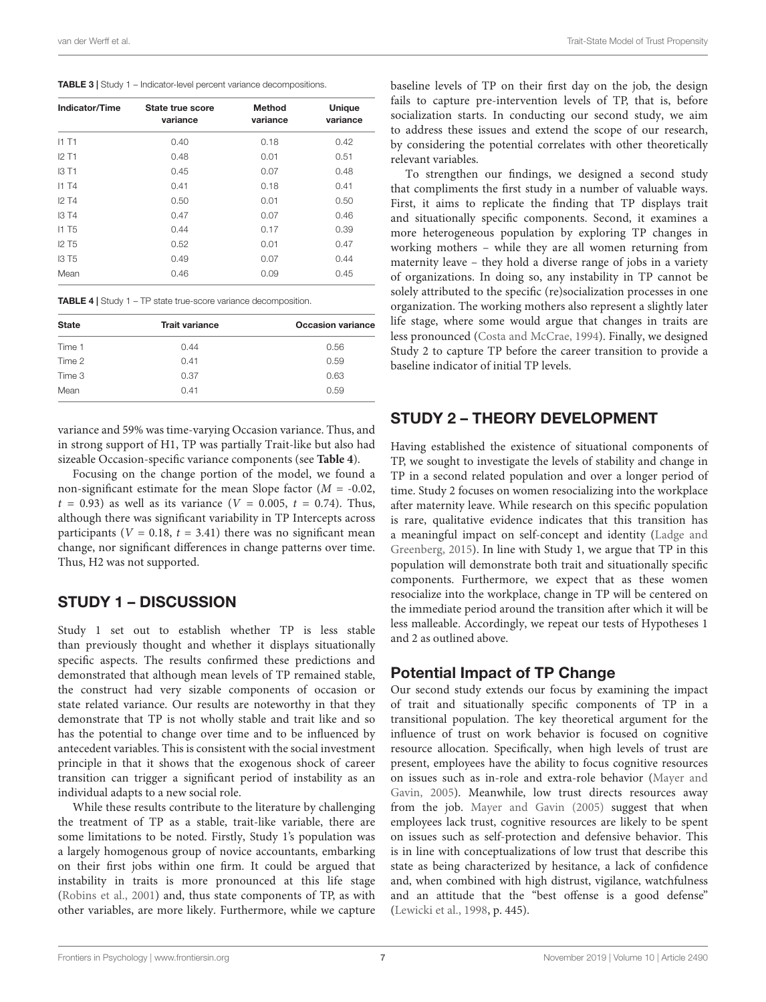<span id="page-6-0"></span>

| <b>TABLE 3</b>   Study 1 - Indicator-level percent variance decompositions. |
|-----------------------------------------------------------------------------|
|-----------------------------------------------------------------------------|

| Indicator/Time          | State true score<br>variance | <b>Method</b><br>variance | Unique<br>variance |
|-------------------------|------------------------------|---------------------------|--------------------|
| <b>I1 T1</b>            | 0.40                         | 0.18                      | 0.42               |
| 12T1                    | 0.48                         | 0.01                      | 0.51               |
| <b>I3 T1</b>            | 0.45                         | 0.07                      | 0.48               |
| 11T4                    | 0.41                         | 0.18                      | 0.41               |
| 12T4                    | 0.50                         | 0.01                      | 0.50               |
| <b>I3 T4</b>            | 0.47                         | 0.07                      | 0.46               |
| <b>11 T<sub>5</sub></b> | 0.44                         | 0.17                      | 0.39               |
| <b>I2 T5</b>            | 0.52                         | 0.01                      | 0.47               |
| <b>I3 T5</b>            | 0.49                         | 0.07                      | 0.44               |
| Mean                    | 0.46                         | 0.09                      | 0.45               |

<span id="page-6-1"></span>TABLE 4 | Study 1 – TP state true-score variance decomposition.

| <b>State</b> | <b>Trait variance</b> | <b>Occasion variance</b> |
|--------------|-----------------------|--------------------------|
| Time 1       | 0.44                  | 0.56                     |
| Time 2       | 0.41                  | 0.59                     |
| Time 3       | 0.37                  | 0.63                     |
| Mean         | 0.41                  | 0.59                     |

variance and 59% was time-varying Occasion variance. Thus, and in strong support of H1, TP was partially Trait-like but also had sizeable Occasion-specific variance components (see **[Table 4](#page-6-1)**).

Focusing on the change portion of the model, we found a non-significant estimate for the mean Slope factor  $(M = -0.02,$  $t = 0.93$ ) as well as its variance ( $V = 0.005$ ,  $t = 0.74$ ). Thus, although there was significant variability in TP Intercepts across participants ( $V = 0.18$ ,  $t = 3.41$ ) there was no significant mean change, nor significant differences in change patterns over time. Thus, H2 was not supported.

### STUDY 1 – DISCUSSION

Study 1 set out to establish whether TP is less stable than previously thought and whether it displays situationally specific aspects. The results confirmed these predictions and demonstrated that although mean levels of TP remained stable, the construct had very sizable components of occasion or state related variance. Our results are noteworthy in that they demonstrate that TP is not wholly stable and trait like and so has the potential to change over time and to be influenced by antecedent variables. This is consistent with the social investment principle in that it shows that the exogenous shock of career transition can trigger a significant period of instability as an individual adapts to a new social role.

While these results contribute to the literature by challenging the treatment of TP as a stable, trait-like variable, there are some limitations to be noted. Firstly, Study 1's population was a largely homogenous group of novice accountants, embarking on their first jobs within one firm. It could be argued that instability in traits is more pronounced at this life stage [\(Robins et al.,](#page-12-32) [2001\)](#page-12-32) and, thus state components of TP, as with other variables, are more likely. Furthermore, while we capture baseline levels of TP on their first day on the job, the design fails to capture pre-intervention levels of TP, that is, before socialization starts. In conducting our second study, we aim to address these issues and extend the scope of our research, by considering the potential correlates with other theoretically relevant variables.

To strengthen our findings, we designed a second study that compliments the first study in a number of valuable ways. First, it aims to replicate the finding that TP displays trait and situationally specific components. Second, it examines a more heterogeneous population by exploring TP changes in working mothers – while they are all women returning from maternity leave – they hold a diverse range of jobs in a variety of organizations. In doing so, any instability in TP cannot be solely attributed to the specific (re)socialization processes in one organization. The working mothers also represent a slightly later life stage, where some would argue that changes in traits are less pronounced [\(Costa and McCrae,](#page-11-18) [1994\)](#page-11-18). Finally, we designed Study 2 to capture TP before the career transition to provide a baseline indicator of initial TP levels.

# STUDY 2 – THEORY DEVELOPMENT

Having established the existence of situational components of TP, we sought to investigate the levels of stability and change in TP in a second related population and over a longer period of time. Study 2 focuses on women resocializing into the workplace after maternity leave. While research on this specific population is rare, qualitative evidence indicates that this transition has a meaningful impact on self-concept and identity [\(Ladge and](#page-12-21) [Greenberg,](#page-12-21) [2015\)](#page-12-21). In line with Study 1, we argue that TP in this population will demonstrate both trait and situationally specific components. Furthermore, we expect that as these women resocialize into the workplace, change in TP will be centered on the immediate period around the transition after which it will be less malleable. Accordingly, we repeat our tests of Hypotheses 1 and 2 as outlined above.

# Potential Impact of TP Change

Our second study extends our focus by examining the impact of trait and situationally specific components of TP in a transitional population. The key theoretical argument for the influence of trust on work behavior is focused on cognitive resource allocation. Specifically, when high levels of trust are present, employees have the ability to focus cognitive resources on issues such as in-role and extra-role behavior [\(Mayer and](#page-12-33) [Gavin,](#page-12-33) [2005\)](#page-12-33). Meanwhile, low trust directs resources away from the job. [Mayer and Gavin](#page-12-33) [\(2005\)](#page-12-33) suggest that when employees lack trust, cognitive resources are likely to be spent on issues such as self-protection and defensive behavior. This is in line with conceptualizations of low trust that describe this state as being characterized by hesitance, a lack of confidence and, when combined with high distrust, vigilance, watchfulness and an attitude that the "best offense is a good defense" [\(Lewicki et al.,](#page-12-34) [1998,](#page-12-34) p. 445).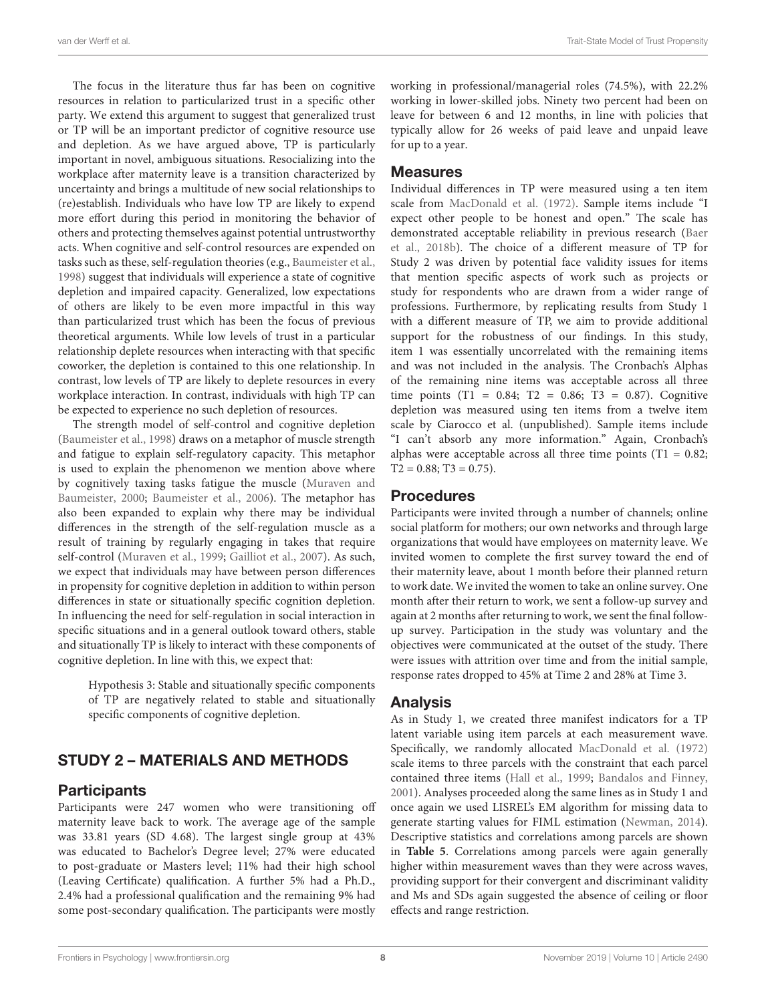The focus in the literature thus far has been on cognitive resources in relation to particularized trust in a specific other party. We extend this argument to suggest that generalized trust or TP will be an important predictor of cognitive resource use and depletion. As we have argued above, TP is particularly important in novel, ambiguous situations. Resocializing into the workplace after maternity leave is a transition characterized by uncertainty and brings a multitude of new social relationships to (re)establish. Individuals who have low TP are likely to expend more effort during this period in monitoring the behavior of others and protecting themselves against potential untrustworthy acts. When cognitive and self-control resources are expended on tasks such as these, self-regulation theories (e.g., [Baumeister et al.,](#page-11-41) [1998\)](#page-11-41) suggest that individuals will experience a state of cognitive depletion and impaired capacity. Generalized, low expectations of others are likely to be even more impactful in this way than particularized trust which has been the focus of previous theoretical arguments. While low levels of trust in a particular relationship deplete resources when interacting with that specific coworker, the depletion is contained to this one relationship. In contrast, low levels of TP are likely to deplete resources in every workplace interaction. In contrast, individuals with high TP can be expected to experience no such depletion of resources.

The strength model of self-control and cognitive depletion [\(Baumeister et al.,](#page-11-41) [1998\)](#page-11-41) draws on a metaphor of muscle strength and fatigue to explain self-regulatory capacity. This metaphor is used to explain the phenomenon we mention above where by cognitively taxing tasks fatigue the muscle [\(Muraven and](#page-12-35) [Baumeister,](#page-12-35) [2000;](#page-12-35) [Baumeister et al.,](#page-11-42) [2006\)](#page-11-42). The metaphor has also been expanded to explain why there may be individual differences in the strength of the self-regulation muscle as a result of training by regularly engaging in takes that require self-control [\(Muraven et al.,](#page-12-36) [1999;](#page-12-36) [Gailliot et al.,](#page-11-43) [2007\)](#page-11-43). As such, we expect that individuals may have between person differences in propensity for cognitive depletion in addition to within person differences in state or situationally specific cognition depletion. In influencing the need for self-regulation in social interaction in specific situations and in a general outlook toward others, stable and situationally TP is likely to interact with these components of cognitive depletion. In line with this, we expect that:

Hypothesis 3: Stable and situationally specific components of TP are negatively related to stable and situationally specific components of cognitive depletion.

### STUDY 2 – MATERIALS AND METHODS

#### **Participants**

Participants were 247 women who were transitioning off maternity leave back to work. The average age of the sample was 33.81 years (SD 4.68). The largest single group at 43% was educated to Bachelor's Degree level; 27% were educated to post-graduate or Masters level; 11% had their high school (Leaving Certificate) qualification. A further 5% had a Ph.D., 2.4% had a professional qualification and the remaining 9% had some post-secondary qualification. The participants were mostly working in professional/managerial roles (74.5%), with 22.2% working in lower-skilled jobs. Ninety two percent had been on leave for between 6 and 12 months, in line with policies that typically allow for 26 weeks of paid leave and unpaid leave for up to a year.

### Measures

Individual differences in TP were measured using a ten item scale from [MacDonald et al.](#page-12-37) [\(1972\)](#page-12-37). Sample items include "I expect other people to be honest and open." The scale has demonstrated acceptable reliability in previous research [\(Baer](#page-11-44) [et al.,](#page-11-44) [2018b\)](#page-11-44). The choice of a different measure of TP for Study 2 was driven by potential face validity issues for items that mention specific aspects of work such as projects or study for respondents who are drawn from a wider range of professions. Furthermore, by replicating results from Study 1 with a different measure of TP, we aim to provide additional support for the robustness of our findings. In this study, item 1 was essentially uncorrelated with the remaining items and was not included in the analysis. The Cronbach's Alphas of the remaining nine items was acceptable across all three time points (T1 =  $0.84$ ; T2 =  $0.86$ ; T3 = 0.87). Cognitive depletion was measured using ten items from a twelve item scale by Ciarocco et al. (unpublished). Sample items include "I can't absorb any more information." Again, Cronbach's alphas were acceptable across all three time points  $(T1 = 0.82;$  $T2 = 0.88$ ;  $T3 = 0.75$ ).

### Procedures

Participants were invited through a number of channels; online social platform for mothers; our own networks and through large organizations that would have employees on maternity leave. We invited women to complete the first survey toward the end of their maternity leave, about 1 month before their planned return to work date. We invited the women to take an online survey. One month after their return to work, we sent a follow-up survey and again at 2 months after returning to work, we sent the final followup survey. Participation in the study was voluntary and the objectives were communicated at the outset of the study. There were issues with attrition over time and from the initial sample, response rates dropped to 45% at Time 2 and 28% at Time 3.

### Analysis

As in Study 1, we created three manifest indicators for a TP latent variable using item parcels at each measurement wave. Specifically, we randomly allocated [MacDonald et al.](#page-12-37) [\(1972\)](#page-12-37) scale items to three parcels with the constraint that each parcel contained three items [\(Hall et al.,](#page-11-32) [1999;](#page-11-32) [Bandalos and Finney,](#page-11-33) [2001\)](#page-11-33). Analyses proceeded along the same lines as in Study 1 and once again we used LISREL's EM algorithm for missing data to generate starting values for FIML estimation [\(Newman,](#page-12-38) [2014\)](#page-12-38). Descriptive statistics and correlations among parcels are shown in **[Table 5](#page-8-0)**. Correlations among parcels were again generally higher within measurement waves than they were across waves, providing support for their convergent and discriminant validity and Ms and SDs again suggested the absence of ceiling or floor effects and range restriction.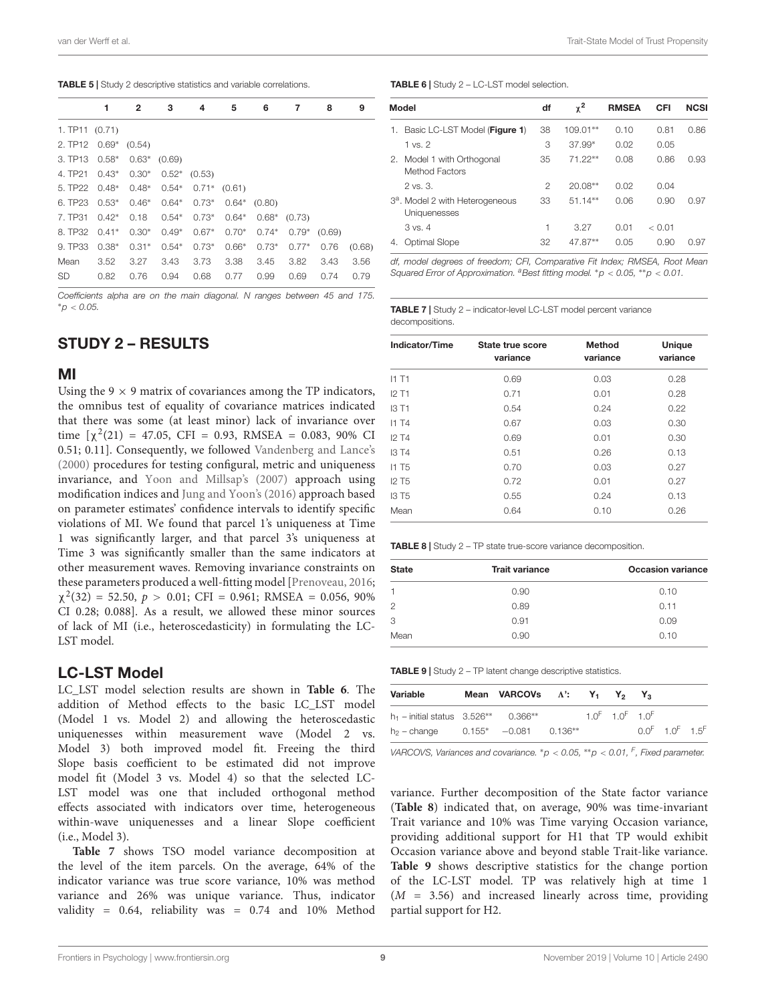#### <span id="page-8-0"></span>TABLE 5 | Study 2 descriptive statistics and variable correlations.

|                  | 1       | $\mathbf{2}$     | 3       | 4                | 5                | 6       | 7       | 8      | 9      |
|------------------|---------|------------------|---------|------------------|------------------|---------|---------|--------|--------|
| 1. TP11 $(0.71)$ |         |                  |         |                  |                  |         |         |        |        |
| 2. TP12 0.69*    |         | (0.54)           |         |                  |                  |         |         |        |        |
| 3. TP13 0.58*    |         | $0.63*$ $(0.69)$ |         |                  |                  |         |         |        |        |
| 4. TP21          | $0.43*$ | $0.30*$          |         | $0.52*$ $(0.53)$ |                  |         |         |        |        |
| 5. TP22          | $0.48*$ | $0.48*$          | $0.54*$ |                  | $0.71*$ $(0.61)$ |         |         |        |        |
| 6. TP23          | $0.53*$ | $0.46*$          | $0.64*$ | $0.73*$          | $0.64*$          | (0.80)  |         |        |        |
| 7. TP31          | $0.42*$ | 0.18             | $0.54*$ | $0.73*$          | $0.64*$          | $0.68*$ | (0.73)  |        |        |
| 8. TP32          | $0.41*$ | $0.30*$          | $0.49*$ | $0.67*$          | $0.70*$          | $0.74*$ | $0.79*$ | (0.69) |        |
| 9. TP33          | $0.38*$ | $0.31*$          | $0.54*$ | $0.73*$          | $0.66*$          | $0.73*$ | $0.77*$ | 0.76   | (0.68) |
| Mean             | 3.52    | 3.27             | 3.43    | 3.73             | 3.38             | 3.45    | 3.82    | 3.43   | 3.56   |
| <b>SD</b>        | 0.82    | 0.76             | 0.94    | 0.68             | 0.77             | 0.99    | 0.69    | 0.74   | 0.79   |

Coefficients alpha are on the main diagonal. N ranges between 45 and 175.  $*p < 0.05$ 

### STUDY 2 – RESULTS

#### MI

Using the 9  $\times$  9 matrix of covariances among the TP indicators, the omnibus test of equality of covariance matrices indicated that there was some (at least minor) lack of invariance over time  $[\chi^2(21) = 47.05, \text{CFI} = 0.93, \text{RMSEA} = 0.083, 90\% \text{ CI}$ 0.51; 0.11]. Consequently, we followed [Vandenberg and Lance'](#page-13-13)s [\(2000\)](#page-13-13) procedures for testing configural, metric and uniqueness invariance, and [Yoon and Millsap'](#page-13-15)s [\(2007\)](#page-13-15) approach using modification indices and [Jung and Yoon's](#page-12-39) [\(2016\)](#page-12-39) approach based on parameter estimates' confidence intervals to identify specific violations of MI. We found that parcel 1's uniqueness at Time 1 was significantly larger, and that parcel 3's uniqueness at Time 3 was significantly smaller than the same indicators at other measurement waves. Removing invariance constraints on these parameters produced a well-fitting model [\[Prenoveau,](#page-12-40) [2016;](#page-12-40)  $\chi^2(32) = 52.50, p > 0.01; CFI = 0.961; RMSEA = 0.056, 90\%$ CI 0.28; 0.088]. As a result, we allowed these minor sources of lack of MI (i.e., heteroscedasticity) in formulating the LC-LST model.

#### LC-LST Model

LC\_LST model selection results are shown in **[Table 6](#page-8-1)**. The addition of Method effects to the basic LC\_LST model (Model 1 vs. Model 2) and allowing the heteroscedastic uniquenesses within measurement wave (Model 2 vs. Model 3) both improved model fit. Freeing the third Slope basis coefficient to be estimated did not improve model fit (Model 3 vs. Model 4) so that the selected LC-LST model was one that included orthogonal method effects associated with indicators over time, heterogeneous within-wave uniquenesses and a linear Slope coefficient (i.e., Model 3).

**[Table 7](#page-8-2)** shows TSO model variance decomposition at the level of the item parcels. On the average, 64% of the indicator variance was true score variance, 10% was method variance and 26% was unique variance. Thus, indicator validity = 0.64, reliability was = 0.74 and 10% Method

<span id="page-8-1"></span>TABLE 6 | Study 2 - LC-LST model selection

|    | Model                                                       |    | $x^2$      | <b>RMSEA</b> | CFI    | <b>NCSI</b> |
|----|-------------------------------------------------------------|----|------------|--------------|--------|-------------|
| 1. | Basic LC-LST Model (Figure 1)                               | 38 | $109.01**$ | 0.10         | 0.81   | 0.86        |
|    | $1$ vs. $2$                                                 | 3  | $37.99*$   | 0.02         | 0.05   |             |
| 2. | Model 1 with Orthogonal<br>Method Factors                   | 35 | 71 22**    | 0.08         | 0.86   | 0.93        |
|    | $2$ vs. $3$ .                                               | 2  | $20.08**$  | 0.02         | 0.04   |             |
|    | 3 <sup>a</sup> . Model 2 with Heterogeneous<br>Uniquenesses | 33 | $51.14**$  | 0.06         | 0.90   | 0.97        |
|    | $3$ vs. $4$                                                 | 1  | 3.27       | 0.01         | < 0.01 |             |
| 4. | Optimal Slope                                               | 32 | 47.87**    | 0.05         | 0.90   | 0.97        |

df, model degrees of freedom; CFI, Comparative Fit Index; RMSEA, Root Mean Squared Error of Approximation. <sup>a</sup>Best fitting model. \*p < 0.05, \*\*p < 0.01.

<span id="page-8-2"></span>TABLE 7 | Study 2 – indicator-level LC-LST model percent variance decompositions.

| <b>Indicator/Time</b> | State true score<br>variance | <b>Method</b><br>variance | <b>Unique</b><br>variance |
|-----------------------|------------------------------|---------------------------|---------------------------|
| <b>I1 T1</b>          | 0.69                         | 0.03                      | 0.28                      |
| 12T1                  | 0.71                         | 0.01                      | 0.28                      |
| <b>I3 T1</b>          | 0.54                         | 0.24                      | 0.22                      |
| <b>I1 T4</b>          | 0.67                         | 0.03                      | 0.30                      |
| 12T4                  | 0.69                         | 0.01                      | 0.30                      |
| 13T4                  | 0.51                         | 0.26                      | 0.13                      |
| <b>I1 T5</b>          | 0.70                         | 0.03                      | 0.27                      |
| 12T5                  | 0.72                         | 0.01                      | 0.27                      |
| <b>I3 T5</b>          | 0.55                         | 0.24                      | 0.13                      |
| Mean                  | 0.64                         | 0.10                      | 0.26                      |
|                       |                              |                           |                           |

<span id="page-8-3"></span>TABLE 8 | Study 2 - TP state true-score variance decomposition.

| <b>State</b>   | <b>Trait variance</b> | <b>Occasion variance</b> |
|----------------|-----------------------|--------------------------|
|                | 0.90                  | 0.10                     |
| $\overline{2}$ | 0.89                  | 0.11                     |
| 3              | 0.91                  | 0.09                     |
| Mean           | 0.90                  | 0.10                     |

<span id="page-8-4"></span>TABLE 9 | Study 2 - TP latent change descriptive statistics

| Variable                                            | Mean VARCOVs $\Lambda$ ': Y <sub>1</sub> Y <sub>2</sub> Y <sub>3</sub> |  |                                           |                                          |  |
|-----------------------------------------------------|------------------------------------------------------------------------|--|-------------------------------------------|------------------------------------------|--|
| $h_1$ – initial status 3.526** 0.366**              |                                                                        |  | $1.0^{\circ}$ $1.0^{\circ}$ $1.0^{\circ}$ |                                          |  |
| $h_2$ - change $0.155^*$ -0.081 0.136 <sup>**</sup> |                                                                        |  |                                           | $00^{F}$ 10 <sup>F</sup> 15 <sup>F</sup> |  |

VARCOVS, Variances and covariance.  $^{*}p < 0.05$ ,  $^{**}p < 0.01$ , <sup>F</sup>, Fixed parameter.

variance. Further decomposition of the State factor variance (**[Table 8](#page-8-3)**) indicated that, on average, 90% was time-invariant Trait variance and 10% was Time varying Occasion variance, providing additional support for H1 that TP would exhibit Occasion variance above and beyond stable Trait-like variance. **[Table 9](#page-8-4)** shows descriptive statistics for the change portion of the LC-LST model. TP was relatively high at time 1  $(M = 3.56)$  and increased linearly across time, providing partial support for H2.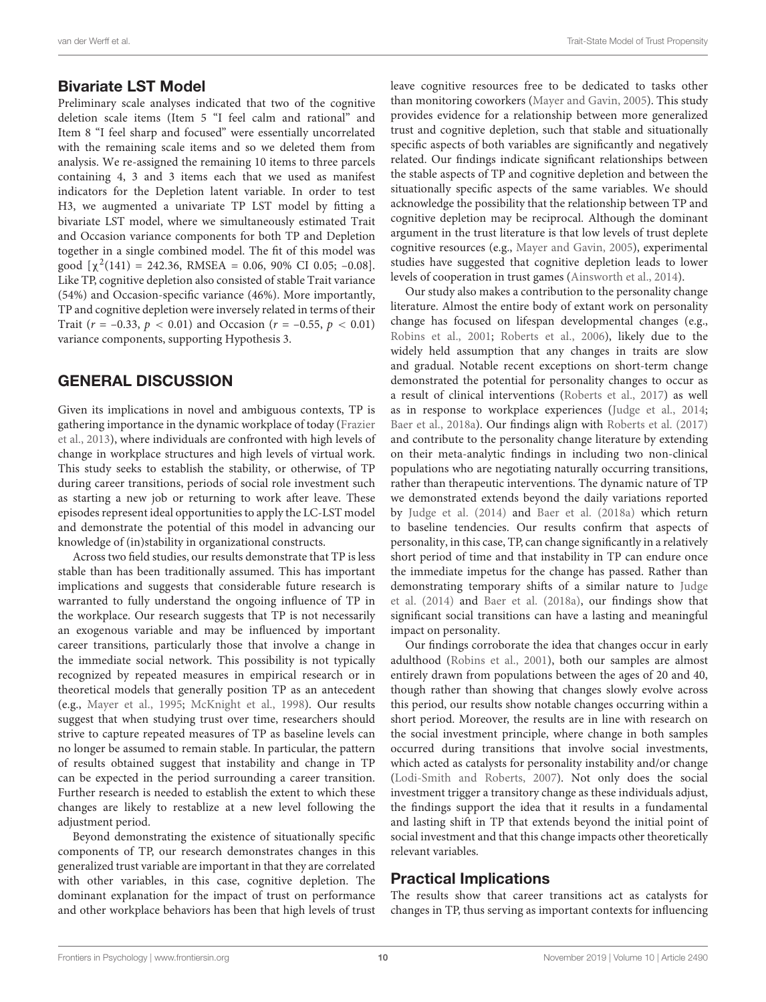#### Bivariate LST Model

Preliminary scale analyses indicated that two of the cognitive deletion scale items (Item 5 "I feel calm and rational" and Item 8 "I feel sharp and focused" were essentially uncorrelated with the remaining scale items and so we deleted them from analysis. We re-assigned the remaining 10 items to three parcels containing 4, 3 and 3 items each that we used as manifest indicators for the Depletion latent variable. In order to test H3, we augmented a univariate TP LST model by fitting a bivariate LST model, where we simultaneously estimated Trait and Occasion variance components for both TP and Depletion together in a single combined model. The fit of this model was good  $[\chi^2(141) = 242.36$ , RMSEA = 0.06, 90% CI 0.05; -0.08]. Like TP, cognitive depletion also consisted of stable Trait variance (54%) and Occasion-specific variance (46%). More importantly, TP and cognitive depletion were inversely related in terms of their Trait ( $r = -0.33$ ,  $p < 0.01$ ) and Occasion ( $r = -0.55$ ,  $p < 0.01$ ) variance components, supporting Hypothesis 3.

### GENERAL DISCUSSION

Given its implications in novel and ambiguous contexts, TP is gathering importance in the dynamic workplace of today [\(Frazier](#page-11-3) [et al.,](#page-11-3) [2013\)](#page-11-3), where individuals are confronted with high levels of change in workplace structures and high levels of virtual work. This study seeks to establish the stability, or otherwise, of TP during career transitions, periods of social role investment such as starting a new job or returning to work after leave. These episodes represent ideal opportunities to apply the LC-LST model and demonstrate the potential of this model in advancing our knowledge of (in)stability in organizational constructs.

Across two field studies, our results demonstrate that TP is less stable than has been traditionally assumed. This has important implications and suggests that considerable future research is warranted to fully understand the ongoing influence of TP in the workplace. Our research suggests that TP is not necessarily an exogenous variable and may be influenced by important career transitions, particularly those that involve a change in the immediate social network. This possibility is not typically recognized by repeated measures in empirical research or in theoretical models that generally position TP as an antecedent (e.g., [Mayer et al.,](#page-12-1) [1995;](#page-12-1) [McKnight et al.,](#page-12-2) [1998\)](#page-12-2). Our results suggest that when studying trust over time, researchers should strive to capture repeated measures of TP as baseline levels can no longer be assumed to remain stable. In particular, the pattern of results obtained suggest that instability and change in TP can be expected in the period surrounding a career transition. Further research is needed to establish the extent to which these changes are likely to restablize at a new level following the adjustment period.

Beyond demonstrating the existence of situationally specific components of TP, our research demonstrates changes in this generalized trust variable are important in that they are correlated with other variables, in this case, cognitive depletion. The dominant explanation for the impact of trust on performance and other workplace behaviors has been that high levels of trust

leave cognitive resources free to be dedicated to tasks other than monitoring coworkers [\(Mayer and Gavin,](#page-12-33) [2005\)](#page-12-33). This study provides evidence for a relationship between more generalized trust and cognitive depletion, such that stable and situationally specific aspects of both variables are significantly and negatively related. Our findings indicate significant relationships between the stable aspects of TP and cognitive depletion and between the situationally specific aspects of the same variables. We should acknowledge the possibility that the relationship between TP and cognitive depletion may be reciprocal. Although the dominant argument in the trust literature is that low levels of trust deplete cognitive resources (e.g., [Mayer and Gavin,](#page-12-33) [2005\)](#page-12-33), experimental studies have suggested that cognitive depletion leads to lower levels of cooperation in trust games [\(Ainsworth et al.,](#page-10-2) [2014\)](#page-10-2).

Our study also makes a contribution to the personality change literature. Almost the entire body of extant work on personality change has focused on lifespan developmental changes (e.g., [Robins et al.,](#page-12-32) [2001;](#page-12-32) [Roberts et al.,](#page-12-5) [2006\)](#page-12-5), likely due to the widely held assumption that any changes in traits are slow and gradual. Notable recent exceptions on short-term change demonstrated the potential for personality changes to occur as a result of clinical interventions [\(Roberts et al.,](#page-12-24) [2017\)](#page-12-24) as well as in response to workplace experiences [\(Judge et al.,](#page-12-6) [2014;](#page-12-6) [Baer et al.,](#page-11-7) [2018a\)](#page-11-7). Our findings align with [Roberts et al.](#page-12-24) [\(2017\)](#page-12-24) and contribute to the personality change literature by extending on their meta-analytic findings in including two non-clinical populations who are negotiating naturally occurring transitions, rather than therapeutic interventions. The dynamic nature of TP we demonstrated extends beyond the daily variations reported by [Judge et al.](#page-12-6) [\(2014\)](#page-12-6) and [Baer et al.](#page-11-7) [\(2018a\)](#page-11-7) which return to baseline tendencies. Our results confirm that aspects of personality, in this case, TP, can change significantly in a relatively short period of time and that instability in TP can endure once the immediate impetus for the change has passed. Rather than demonstrating temporary shifts of a similar nature to [Judge](#page-12-6) [et al.](#page-12-6) [\(2014\)](#page-12-6) and [Baer et al.](#page-11-7) [\(2018a\)](#page-11-7), our findings show that significant social transitions can have a lasting and meaningful impact on personality.

Our findings corroborate the idea that changes occur in early adulthood [\(Robins et al.,](#page-12-32) [2001\)](#page-12-32), both our samples are almost entirely drawn from populations between the ages of 20 and 40, though rather than showing that changes slowly evolve across this period, our results show notable changes occurring within a short period. Moreover, the results are in line with research on the social investment principle, where change in both samples occurred during transitions that involve social investments, which acted as catalysts for personality instability and/or change [\(Lodi-Smith and Roberts,](#page-12-7) [2007\)](#page-12-7). Not only does the social investment trigger a transitory change as these individuals adjust, the findings support the idea that it results in a fundamental and lasting shift in TP that extends beyond the initial point of social investment and that this change impacts other theoretically relevant variables.

#### Practical Implications

The results show that career transitions act as catalysts for changes in TP, thus serving as important contexts for influencing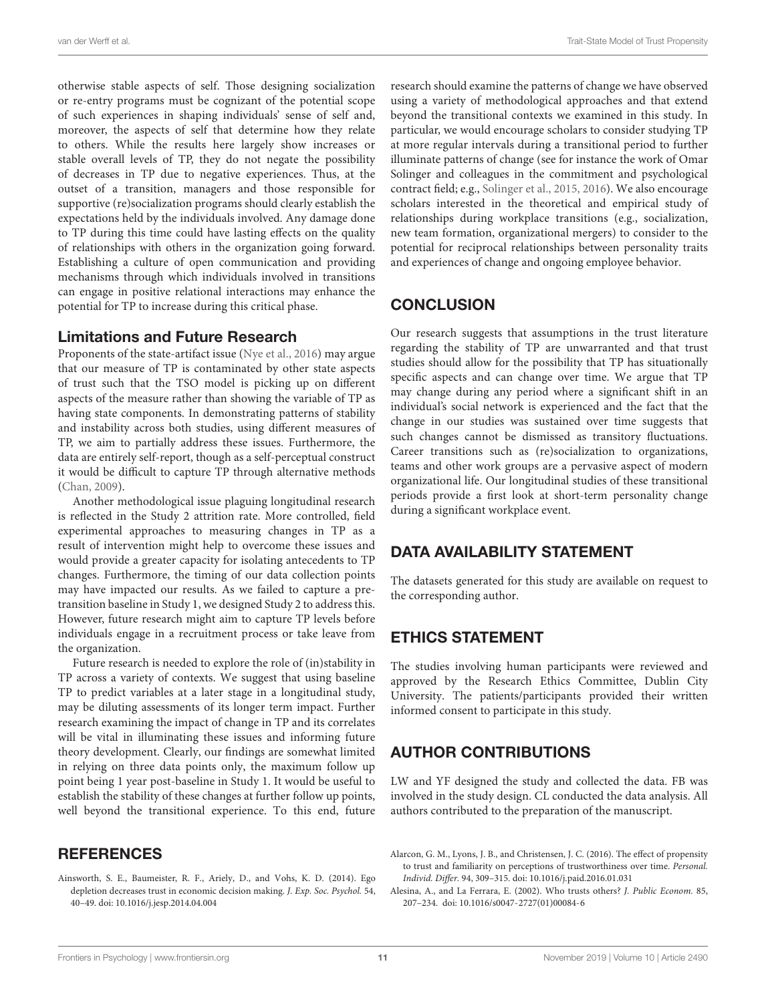otherwise stable aspects of self. Those designing socialization or re-entry programs must be cognizant of the potential scope of such experiences in shaping individuals' sense of self and, moreover, the aspects of self that determine how they relate to others. While the results here largely show increases or stable overall levels of TP, they do not negate the possibility of decreases in TP due to negative experiences. Thus, at the outset of a transition, managers and those responsible for supportive (re)socialization programs should clearly establish the expectations held by the individuals involved. Any damage done to TP during this time could have lasting effects on the quality of relationships with others in the organization going forward. Establishing a culture of open communication and providing mechanisms through which individuals involved in transitions can engage in positive relational interactions may enhance the potential for TP to increase during this critical phase.

#### Limitations and Future Research

Proponents of the state-artifact issue [\(Nye et al.,](#page-12-41) [2016\)](#page-12-41) may argue that our measure of TP is contaminated by other state aspects of trust such that the TSO model is picking up on different aspects of the measure rather than showing the variable of TP as having state components. In demonstrating patterns of stability and instability across both studies, using different measures of TP, we aim to partially address these issues. Furthermore, the data are entirely self-report, though as a self-perceptual construct it would be difficult to capture TP through alternative methods [\(Chan,](#page-11-45) [2009\)](#page-11-45).

Another methodological issue plaguing longitudinal research is reflected in the Study 2 attrition rate. More controlled, field experimental approaches to measuring changes in TP as a result of intervention might help to overcome these issues and would provide a greater capacity for isolating antecedents to TP changes. Furthermore, the timing of our data collection points may have impacted our results. As we failed to capture a pretransition baseline in Study 1, we designed Study 2 to address this. However, future research might aim to capture TP levels before individuals engage in a recruitment process or take leave from the organization.

Future research is needed to explore the role of (in)stability in TP across a variety of contexts. We suggest that using baseline TP to predict variables at a later stage in a longitudinal study, may be diluting assessments of its longer term impact. Further research examining the impact of change in TP and its correlates will be vital in illuminating these issues and informing future theory development. Clearly, our findings are somewhat limited in relying on three data points only, the maximum follow up point being 1 year post-baseline in Study 1. It would be useful to establish the stability of these changes at further follow up points, well beyond the transitional experience. To this end, future

### **REFERENCES**

<span id="page-10-2"></span>Ainsworth, S. E., Baumeister, R. F., Ariely, D., and Vohs, K. D. (2014). Ego depletion decreases trust in economic decision making. J. Exp. Soc. Psychol. 54, 40–49. [doi: 10.1016/j.jesp.2014.04.004](https://doi.org/10.1016/j.jesp.2014.04.004)

research should examine the patterns of change we have observed using a variety of methodological approaches and that extend beyond the transitional contexts we examined in this study. In particular, we would encourage scholars to consider studying TP at more regular intervals during a transitional period to further illuminate patterns of change (see for instance the work of Omar Solinger and colleagues in the commitment and psychological contract field; e.g., [Solinger et al.,](#page-12-42) [2015,](#page-12-42) [2016\)](#page-12-43). We also encourage scholars interested in the theoretical and empirical study of relationships during workplace transitions (e.g., socialization, new team formation, organizational mergers) to consider to the potential for reciprocal relationships between personality traits and experiences of change and ongoing employee behavior.

### **CONCLUSION**

Our research suggests that assumptions in the trust literature regarding the stability of TP are unwarranted and that trust studies should allow for the possibility that TP has situationally specific aspects and can change over time. We argue that TP may change during any period where a significant shift in an individual's social network is experienced and the fact that the change in our studies was sustained over time suggests that such changes cannot be dismissed as transitory fluctuations. Career transitions such as (re)socialization to organizations, teams and other work groups are a pervasive aspect of modern organizational life. Our longitudinal studies of these transitional periods provide a first look at short-term personality change during a significant workplace event.

## DATA AVAILABILITY STATEMENT

The datasets generated for this study are available on request to the corresponding author.

### ETHICS STATEMENT

The studies involving human participants were reviewed and approved by the Research Ethics Committee, Dublin City University. The patients/participants provided their written informed consent to participate in this study.

### AUTHOR CONTRIBUTIONS

LW and YF designed the study and collected the data. FB was involved in the study design. CL conducted the data analysis. All authors contributed to the preparation of the manuscript.

<span id="page-10-0"></span>Alarcon, G. M., Lyons, J. B., and Christensen, J. C. (2016). The effect of propensity to trust and familiarity on perceptions of trustworthiness over time. Personal. Individ. Differ. 94, 309–315. [doi: 10.1016/j.paid.2016.01.031](https://doi.org/10.1016/j.paid.2016.01.031)

<span id="page-10-1"></span>Alesina, A., and La Ferrara, E. (2002). Who trusts others? J. Public Econom. 85, 207–234. [doi: 10.1016/s0047-2727\(01\)00084-6](https://doi.org/10.1016/s0047-2727(01)00084-6)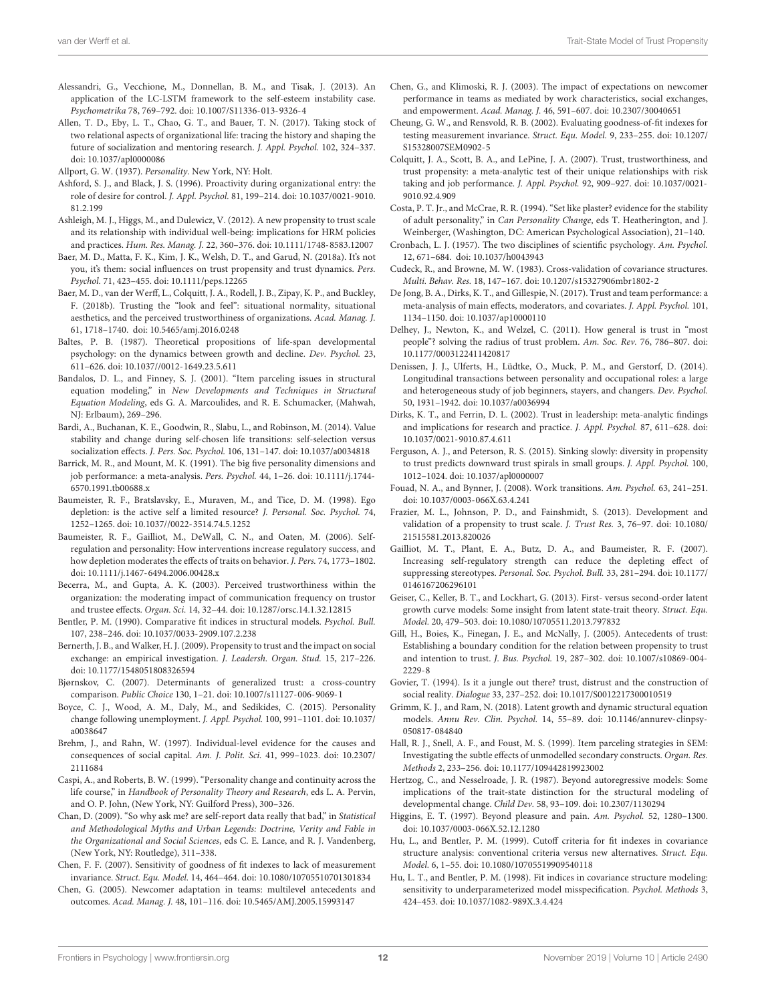- <span id="page-11-34"></span>Alessandri, G., Vecchione, M., Donnellan, B. M., and Tisak, J. (2013). An application of the LC-LSTM framework to the self-esteem instability case. Psychometrika 78, 769–792. [doi: 10.1007/S11336-013-9326-4](https://doi.org/10.1007/S11336-013-9326-4)
- <span id="page-11-26"></span>Allen, T. D., Eby, L. T., Chao, G. T., and Bauer, T. N. (2017). Taking stock of two relational aspects of organizational life: tracing the history and shaping the future of socialization and mentoring research. J. Appl. Psychol. 102, 324–337. [doi: 10.1037/apl0000086](https://doi.org/10.1037/apl0000086)

<span id="page-11-17"></span>Allport, G. W. (1937). Personality. New York, NY: Holt.

- <span id="page-11-29"></span>Ashford, S. J., and Black, J. S. (1996). Proactivity during organizational entry: the role of desire for control. J. Appl. Psychol. 81, 199–214. [doi: 10.1037/0021-9010.](https://doi.org/10.1037/0021-9010.81.2.199) [81.2.199](https://doi.org/10.1037/0021-9010.81.2.199)
- <span id="page-11-5"></span>Ashleigh, M. J., Higgs, M., and Dulewicz, V. (2012). A new propensity to trust scale and its relationship with individual well-being: implications for HRM policies and practices. Hum. Res. Manag. J. 22, 360–376. [doi: 10.1111/1748-8583.12007](https://doi.org/10.1111/1748-8583.12007)
- <span id="page-11-7"></span>Baer, M. D., Matta, F. K., Kim, J. K., Welsh, D. T., and Garud, N. (2018a). It's not you, it's them: social influences on trust propensity and trust dynamics. Pers. Psychol. 71, 423–455. [doi: 10.1111/peps.12265](https://doi.org/10.1111/peps.12265)
- <span id="page-11-44"></span>Baer, M. D., van der Werff, L., Colquitt, J. A., Rodell, J. B., Zipay, K. P., and Buckley, F. (2018b). Trusting the "look and feel": situational normality, situational aesthetics, and the perceived trustworthiness of organizations. Acad. Manag. J. 61, 1718–1740. [doi: 10.5465/amj.2016.0248](https://doi.org/10.5465/amj.2016.0248)
- <span id="page-11-20"></span>Baltes, P. B. (1987). Theoretical propositions of life-span developmental psychology: on the dynamics between growth and decline. Dev. Psychol. 23, 611–626. [doi: 10.1037//0012-1649.23.5.611](https://doi.org/10.1037//0012-1649.23.5.611)
- <span id="page-11-33"></span>Bandalos, D. L., and Finney, S. J. (2001). "Item parceling issues in structural equation modeling," in New Developments and Techniques in Structural Equation Modeling, eds G. A. Marcoulides, and R. E. Schumacker, (Mahwah, NJ: Erlbaum), 269–296.
- <span id="page-11-25"></span>Bardi, A., Buchanan, K. E., Goodwin, R., Slabu, L., and Robinson, M. (2014). Value stability and change during self-chosen life transitions: self-selection versus socialization effects. J. Pers. Soc. Psychol. 106, 131–147. [doi: 10.1037/a0034818](https://doi.org/10.1037/a0034818)
- <span id="page-11-16"></span>Barrick, M. R., and Mount, M. K. (1991). The big five personality dimensions and job performance: a meta-analysis. Pers. Psychol. 44, 1–26. [doi: 10.1111/j.1744-](https://doi.org/10.1111/j.1744-6570.1991.tb00688.x) [6570.1991.tb00688.x](https://doi.org/10.1111/j.1744-6570.1991.tb00688.x)
- <span id="page-11-41"></span>Baumeister, R. F., Bratslavsky, E., Muraven, M., and Tice, D. M. (1998). Ego depletion: is the active self a limited resource? J. Personal. Soc. Psychol. 74, 1252–1265. [doi: 10.1037//0022-3514.74.5.1252](https://doi.org/10.1037//0022-3514.74.5.1252)
- <span id="page-11-42"></span>Baumeister, R. F., Gailliot, M., DeWall, C. N., and Oaten, M. (2006). Selfregulation and personality: How interventions increase regulatory success, and how depletion moderates the effects of traits on behavior. J. Pers. 74, 1773–1802. [doi: 10.1111/j.1467-6494.2006.00428.x](https://doi.org/10.1111/j.1467-6494.2006.00428.x)
- <span id="page-11-12"></span>Becerra, M., and Gupta, A. K. (2003). Perceived trustworthiness within the organization: the moderating impact of communication frequency on trustor and trustee effects. Organ. Sci. 14, 32–44. [doi: 10.1287/orsc.14.1.32.12815](https://doi.org/10.1287/orsc.14.1.32.12815)
- <span id="page-11-40"></span>Bentler, P. M. (1990). Comparative fit indices in structural models. Psychol. Bull. 107, 238–246. [doi: 10.1037/0033-2909.107.2.238](https://doi.org/10.1037/0033-2909.107.2.238)
- <span id="page-11-13"></span>Bernerth, J. B., and Walker, H. J. (2009). Propensity to trust and the impact on social exchange: an empirical investigation. J. Leadersh. Organ. Stud. 15, 217–226. [doi: 10.1177/1548051808326594](https://doi.org/10.1177/1548051808326594)
- <span id="page-11-14"></span>Bjørnskov, C. (2007). Determinants of generalized trust: a cross-country comparison. Public Choice 130, 1–21. [doi: 10.1007/s11127-006-9069-1](https://doi.org/10.1007/s11127-006-9069-1)
- <span id="page-11-8"></span>Boyce, C. J., Wood, A. M., Daly, M., and Sedikides, C. (2015). Personality change following unemployment. J. Appl. Psychol. 100, 991–1101. [doi: 10.1037/](https://doi.org/10.1037/a0038647) [a0038647](https://doi.org/10.1037/a0038647)
- <span id="page-11-28"></span>Brehm, J., and Rahn, W. (1997). Individual-level evidence for the causes and consequences of social capital. Am. J. Polit. Sci. 41, 999–1023. [doi: 10.2307/](https://doi.org/10.2307/2111684) [2111684](https://doi.org/10.2307/2111684)
- <span id="page-11-24"></span>Caspi, A., and Roberts, B. W. (1999). "Personality change and continuity across the life course," in Handbook of Personality Theory and Research, eds L. A. Pervin, and O. P. John, (New York, NY: Guilford Press), 300–326.
- <span id="page-11-45"></span>Chan, D. (2009). "So why ask me? are self-report data really that bad," in Statistical and Methodological Myths and Urban Legends: Doctrine, Verity and Fable in the Organizational and Social Sciences, eds C. E. Lance, and R. J. Vandenberg, (New York, NY: Routledge), 311–338.
- <span id="page-11-38"></span>Chen, F. F. (2007). Sensitivity of goodness of fit indexes to lack of measurement invariance. Struct. Equ. Model. 14, 464–464. [doi: 10.1080/10705510701301834](https://doi.org/10.1080/10705510701301834)
- <span id="page-11-31"></span>Chen, G. (2005). Newcomer adaptation in teams: multilevel antecedents and outcomes. Acad. Manag. J. 48, 101–116. [doi: 10.5465/AMJ.2005.15993147](https://doi.org/10.5465/AMJ.2005.15993147)
- <span id="page-11-30"></span>Chen, G., and Klimoski, R. J. (2003). The impact of expectations on newcomer performance in teams as mediated by work characteristics, social exchanges, and empowerment. Acad. Manag. J. 46, 591–607. [doi: 10.2307/30040651](https://doi.org/10.2307/30040651)
- <span id="page-11-37"></span>Cheung, G. W., and Rensvold, R. B. (2002). Evaluating goodness-of-fit indexes for testing measurement invariance. Struct. Equ. Model. 9, 233–255. [doi: 10.1207/](https://doi.org/10.1207/S15328007SEM0902-5) [S15328007SEM0902-5](https://doi.org/10.1207/S15328007SEM0902-5)
- <span id="page-11-1"></span>Colquitt, J. A., Scott, B. A., and LePine, J. A. (2007). Trust, trustworthiness, and trust propensity: a meta-analytic test of their unique relationships with risk taking and job performance. J. Appl. Psychol. 92, 909–927. [doi: 10.1037/0021-](https://doi.org/10.1037/0021-9010.92.4.909) [9010.92.4.909](https://doi.org/10.1037/0021-9010.92.4.909)
- <span id="page-11-18"></span>Costa, P. T. Jr., and McCrae, R. R. (1994). "Set like plaster? evidence for the stability of adult personality," in Can Personality Change, eds T. Heatherington, and J. Weinberger, (Washington, DC: American Psychological Association), 21–140.
- <span id="page-11-19"></span>Cronbach, L. J. (1957). The two disciplines of scientific psychology. Am. Psychol. 12, 671–684. [doi: 10.1037/h0043943](https://doi.org/10.1037/h0043943)
- <span id="page-11-39"></span>Cudeck, R., and Browne, M. W. (1983). Cross-validation of covariance structures. Multi. Behav. Res. 18, 147–167. [doi: 10.1207/s15327906mbr1802-2](https://doi.org/10.1207/s15327906mbr1802-2)
- <span id="page-11-2"></span>De Jong, B. A., Dirks, K. T., and Gillespie, N. (2017). Trust and team performance: a meta-analysis of main effects, moderators, and covariates. J. Appl. Psychol. 101, 1134–1150. [doi: 10.1037/ap10000110](https://doi.org/10.1037/ap10000110)
- <span id="page-11-10"></span>Delhey, J., Newton, K., and Welzel, C. (2011). How general is trust in "most people"? solving the radius of trust problem. Am. Soc. Rev. 76, 786–807. [doi:](https://doi.org/10.1177/0003122411420817) [10.1177/0003122411420817](https://doi.org/10.1177/0003122411420817)
- <span id="page-11-27"></span>Denissen, J. J., Ulferts, H., Lüdtke, O., Muck, P. M., and Gerstorf, D. (2014). Longitudinal transactions between personality and occupational roles: a large and heterogeneous study of job beginners, stayers, and changers. Dev. Psychol. 50, 1931–1942. [doi: 10.1037/a0036994](https://doi.org/10.1037/a0036994)
- <span id="page-11-0"></span>Dirks, K. T., and Ferrin, D. L. (2002). Trust in leadership: meta-analytic findings and implications for research and practice. J. Appl. Psychol. 87, 611–628. [doi:](https://doi.org/10.1037/0021-9010.87.4.611) [10.1037/0021-9010.87.4.611](https://doi.org/10.1037/0021-9010.87.4.611)
- <span id="page-11-6"></span>Ferguson, A. J., and Peterson, R. S. (2015). Sinking slowly: diversity in propensity to trust predicts downward trust spirals in small groups. J. Appl. Psychol. 100, 1012–1024. [doi: 10.1037/apl0000007](https://doi.org/10.1037/apl0000007)
- <span id="page-11-9"></span>Fouad, N. A., and Bynner, J. (2008). Work transitions. Am. Psychol. 63, 241–251. [doi: 10.1037/0003-066X.63.4.241](https://doi.org/10.1037/0003-066X.63.4.241)
- <span id="page-11-3"></span>Frazier, M. L., Johnson, P. D., and Fainshmidt, S. (2013). Development and validation of a propensity to trust scale. J. Trust Res. 3, 76–97. [doi: 10.1080/](https://doi.org/10.1080/21515581.2013.820026) [21515581.2013.820026](https://doi.org/10.1080/21515581.2013.820026)
- <span id="page-11-43"></span>Gailliot, M. T., Plant, E. A., Butz, D. A., and Baumeister, R. F. (2007). Increasing self-regulatory strength can reduce the depleting effect of suppressing stereotypes. Personal. Soc. Psychol. Bull. 33, 281–294. [doi: 10.1177/](https://doi.org/10.1177/0146167206296101) [0146167206296101](https://doi.org/10.1177/0146167206296101)
- <span id="page-11-23"></span>Geiser, C., Keller, B. T., and Lockhart, G. (2013). First- versus second-order latent growth curve models: Some insight from latent state-trait theory. Struct. Equ. Model. 20, 479–503. [doi: 10.1080/10705511.2013.797832](https://doi.org/10.1080/10705511.2013.797832)
- <span id="page-11-4"></span>Gill, H., Boies, K., Finegan, J. E., and McNally, J. (2005). Antecedents of trust: Establishing a boundary condition for the relation between propensity to trust and intention to trust. J. Bus. Psychol. 19, 287–302. [doi: 10.1007/s10869-004-](https://doi.org/10.1007/s10869-004-2229-8) [2229-8](https://doi.org/10.1007/s10869-004-2229-8)
- <span id="page-11-11"></span>Govier, T. (1994). Is it a jungle out there? trust, distrust and the construction of social reality. Dialogue 33, 237–252. [doi: 10.1017/S0012217300010519](https://doi.org/10.1017/S0012217300010519)
- <span id="page-11-22"></span>Grimm, K. J., and Ram, N. (2018). Latent growth and dynamic structural equation models. Annu Rev. Clin. Psychol. 14, 55–89. [doi: 10.1146/annurev-clinpsy-](https://doi.org/10.1146/annurev-clinpsy-050817-084840)[050817-084840](https://doi.org/10.1146/annurev-clinpsy-050817-084840)
- <span id="page-11-32"></span>Hall, R. J., Snell, A. F., and Foust, M. S. (1999). Item parceling strategies in SEM: Investigating the subtle effects of unmodelled secondary constructs. Organ. Res. Methods 2, 233–256. [doi: 10.1177/109442819923002](https://doi.org/10.1177/109442819923002)
- <span id="page-11-21"></span>Hertzog, C., and Nesselroade, J. R. (1987). Beyond autoregressive models: Some implications of the trait-state distinction for the structural modeling of developmental change. Child Dev. 58, 93–109. [doi: 10.2307/1130294](https://doi.org/10.2307/1130294)
- <span id="page-11-15"></span>Higgins, E. T. (1997). Beyond pleasure and pain. Am. Psychol. 52, 1280–1300. [doi: 10.1037/0003-066X.52.12.1280](https://doi.org/10.1037/0003-066X.52.12.1280)
- <span id="page-11-36"></span>Hu, L., and Bentler, P. M. (1999). Cutoff criteria for fit indexes in covariance structure analysis: conventional criteria versus new alternatives. Struct. Equ. Model. 6, 1–55. [doi: 10.1080/10705519909540118](https://doi.org/10.1080/10705519909540118)
- <span id="page-11-35"></span>Hu, L. T., and Bentler, P. M. (1998). Fit indices in covariance structure modeling: sensitivity to underparameterized model misspecification. Psychol. Methods 3, 424–453. [doi: 10.1037/1082-989X.3.4.424](https://doi.org/10.1037/1082-989X.3.4.424)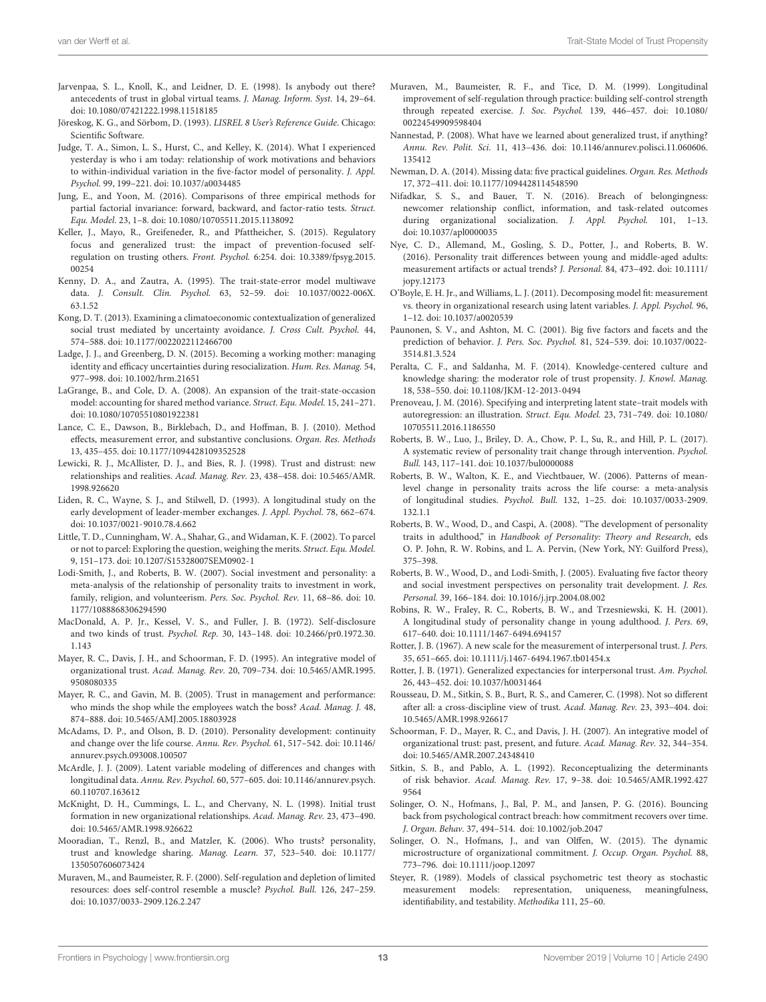- <span id="page-12-26"></span>Jarvenpaa, S. L., Knoll, K., and Leidner, D. E. (1998). Is anybody out there? antecedents of trust in global virtual teams. J. Manag. Inform. Syst. 14, 29–64. [doi: 10.1080/07421222.1998.11518185](https://doi.org/10.1080/07421222.1998.11518185)
- <span id="page-12-28"></span>Jöreskog, K. G., and Sörbom, D. (1993). LISREL 8 User's Reference Guide. Chicago: Scientific Software.
- <span id="page-12-6"></span>Judge, T. A., Simon, L. S., Hurst, C., and Kelley, K. (2014). What I experienced yesterday is who i am today: relationship of work motivations and behaviors to within-individual variation in the five-factor model of personality. J. Appl. Psychol. 99, 199–221. [doi: 10.1037/a0034485](https://doi.org/10.1037/a0034485)
- <span id="page-12-39"></span>Jung, E., and Yoon, M. (2016). Comparisons of three empirical methods for partial factorial invariance: forward, backward, and factor-ratio tests. Struct. Equ. Model. 23, 1–8. [doi: 10.1080/10705511.2015.1138092](https://doi.org/10.1080/10705511.2015.1138092)
- <span id="page-12-14"></span>Keller, J., Mayo, R., Greifeneder, R., and Pfattheicher, S. (2015). Regulatory focus and generalized trust: the impact of prevention-focused selfregulation on trusting others. Front. Psychol. 6:254. [doi: 10.3389/fpsyg.2015.](https://doi.org/10.3389/fpsyg.2015.00254) [00254](https://doi.org/10.3389/fpsyg.2015.00254)
- <span id="page-12-19"></span>Kenny, D. A., and Zautra, A. (1995). The trait-state-error model multiwave data. J. Consult. Clin. Psychol. 63, 52–59. [doi: 10.1037/0022-006X.](https://doi.org/10.1037/0022-006X.63.1.52) [63.1.52](https://doi.org/10.1037/0022-006X.63.1.52)
- <span id="page-12-12"></span>Kong, D. T. (2013). Examining a climatoeconomic contextualization of generalized social trust mediated by uncertainty avoidance. J. Cross Cult. Psychol. 44, 574–588. [doi: 10.1177/0022022112466700](https://doi.org/10.1177/0022022112466700)
- <span id="page-12-21"></span>Ladge, J. J., and Greenberg, D. N. (2015). Becoming a working mother: managing identity and efficacy uncertainties during resocialization. Hum. Res. Manag. 54, 977–998. [doi: 10.1002/hrm.21651](https://doi.org/10.1002/hrm.21651)
- <span id="page-12-29"></span>LaGrange, B., and Cole, D. A. (2008). An expansion of the trait-state-occasion model: accounting for shared method variance. Struct. Equ. Model. 15, 241–271. [doi: 10.1080/10705510801922381](https://doi.org/10.1080/10705510801922381)
- <span id="page-12-31"></span>Lance, C. E., Dawson, B., Birklebach, D., and Hoffman, B. J. (2010). Method effects, measurement error, and substantive conclusions. Organ. Res. Methods 13, 435–455. [doi: 10.1177/1094428109352528](https://doi.org/10.1177/1094428109352528)
- <span id="page-12-34"></span>Lewicki, R. J., McAllister, D. J., and Bies, R. J. (1998). Trust and distrust: new relationships and realities. Acad. Manag. Rev. 23, 438–458. [doi: 10.5465/AMR.](https://doi.org/10.5465/AMR.1998.926620) [1998.926620](https://doi.org/10.5465/AMR.1998.926620)
- <span id="page-12-25"></span>Liden, R. C., Wayne, S. J., and Stilwell, D. (1993). A longitudinal study on the early development of leader-member exchanges. J. Appl. Psychol. 78, 662–674. [doi: 10.1037/0021-9010.78.4.662](https://doi.org/10.1037/0021-9010.78.4.662)
- <span id="page-12-27"></span>Little, T. D., Cunningham, W. A., Shahar, G., and Widaman, K. F. (2002). To parcel or not to parcel: Exploring the question, weighing the merits. Struct. Equ. Model. 9, 151–173. [doi: 10.1207/S15328007SEM0902-1](https://doi.org/10.1207/S15328007SEM0902-1)
- <span id="page-12-7"></span>Lodi-Smith, J., and Roberts, B. W. (2007). Social investment and personality: a meta-analysis of the relationship of personality traits to investment in work, family, religion, and volunteerism. Pers. Soc. Psychol. Rev. 11, 68–86. [doi: 10.](https://doi.org/10.1177/1088868306294590) [1177/1088868306294590](https://doi.org/10.1177/1088868306294590)
- <span id="page-12-37"></span>MacDonald, A. P. Jr., Kessel, V. S., and Fuller, J. B. (1972). Self-disclosure and two kinds of trust. Psychol. Rep. 30, 143–148. [doi: 10.2466/pr0.1972.30.](https://doi.org/10.2466/pr0.1972.30.1.143) [1.143](https://doi.org/10.2466/pr0.1972.30.1.143)
- <span id="page-12-1"></span>Mayer, R. C., Davis, J. H., and Schoorman, F. D. (1995). An integrative model of organizational trust. Acad. Manag. Rev. 20, 709–734. [doi: 10.5465/AMR.1995.](https://doi.org/10.5465/AMR.1995.9508080335) [9508080335](https://doi.org/10.5465/AMR.1995.9508080335)
- <span id="page-12-33"></span>Mayer, R. C., and Gavin, M. B. (2005). Trust in management and performance: who minds the shop while the employees watch the boss? Acad. Manag. J. 48, 874–888. [doi: 10.5465/AMJ.2005.18803928](https://doi.org/10.5465/AMJ.2005.18803928)
- <span id="page-12-22"></span>McAdams, D. P., and Olson, B. D. (2010). Personality development: continuity and change over the life course. Annu. Rev. Psychol. 61, 517–542. [doi: 10.1146/](https://doi.org/10.1146/annurev.psych.093008.100507) [annurev.psych.093008.100507](https://doi.org/10.1146/annurev.psych.093008.100507)
- <span id="page-12-20"></span>McArdle, J. J. (2009). Latent variable modeling of differences and changes with longitudinal data. Annu. Rev. Psychol. 60, 577–605. [doi: 10.1146/annurev.psych.](https://doi.org/10.1146/annurev.psych.60.110707.163612) [60.110707.163612](https://doi.org/10.1146/annurev.psych.60.110707.163612)
- <span id="page-12-2"></span>McKnight, D. H., Cummings, L. L., and Chervany, N. L. (1998). Initial trust formation in new organizational relationships. Acad. Manag. Rev. 23, 473–490. [doi: 10.5465/AMR.1998.926622](https://doi.org/10.5465/AMR.1998.926622)
- <span id="page-12-4"></span>Mooradian, T., Renzl, B., and Matzler, K. (2006). Who trusts? personality, trust and knowledge sharing. Manag. Learn. 37, 523–540. [doi: 10.1177/](https://doi.org/10.1177/1350507606073424) [1350507606073424](https://doi.org/10.1177/1350507606073424)
- <span id="page-12-35"></span>Muraven, M., and Baumeister, R. F. (2000). Self-regulation and depletion of limited resources: does self-control resemble a muscle? Psychol. Bull. 126, 247–259. [doi: 10.1037/0033-2909.126.2.247](https://doi.org/10.1037/0033-2909.126.2.247)
- <span id="page-12-36"></span>Muraven, M., Baumeister, R. F., and Tice, D. M. (1999). Longitudinal improvement of self-regulation through practice: building self-control strength through repeated exercise. J. Soc. Psychol. 139, 446–457. [doi: 10.1080/](https://doi.org/10.1080/00224549909598404) [00224549909598404](https://doi.org/10.1080/00224549909598404)
- <span id="page-12-10"></span>Nannestad, P. (2008). What have we learned about generalized trust, if anything? Annu. Rev. Polit. Sci. 11, 413–436. [doi: 10.1146/annurev.polisci.11.060606.](https://doi.org/10.1146/annurev.polisci.11.060606.135412) [135412](https://doi.org/10.1146/annurev.polisci.11.060606.135412)
- <span id="page-12-38"></span>Newman, D. A. (2014). Missing data: five practical guidelines. Organ. Res. Methods 17, 372–411. [doi: 10.1177/1094428114548590](https://doi.org/10.1177/1094428114548590)
- <span id="page-12-23"></span>Nifadkar, S. S., and Bauer, T. N. (2016). Breach of belongingness: newcomer relationship conflict, information, and task-related outcomes during organizational socialization. J. Appl. Psychol. 101, 1–13. [doi: 10.1037/apl0000035](https://doi.org/10.1037/apl0000035)
- <span id="page-12-41"></span>Nye, C. D., Allemand, M., Gosling, S. D., Potter, J., and Roberts, B. W. (2016). Personality trait differences between young and middle-aged adults: measurement artifacts or actual trends? J. Personal. 84, 473–492. [doi: 10.1111/](https://doi.org/10.1111/jopy.12173) [jopy.12173](https://doi.org/10.1111/jopy.12173)
- <span id="page-12-30"></span>O'Boyle, E. H. Jr., and Williams, L. J. (2011). Decomposing model fit: measurement vs. theory in organizational research using latent variables. J. Appl. Psychol. 96, 1–12. [doi: 10.1037/a0020539](https://doi.org/10.1037/a0020539)
- <span id="page-12-15"></span>Paunonen, S. V., and Ashton, M. C. (2001). Big five factors and facets and the prediction of behavior. J. Pers. Soc. Psychol. 81, 524–539. [doi: 10.1037/0022-](https://doi.org/10.1037/0022-3514.81.3.524) [3514.81.3.524](https://doi.org/10.1037/0022-3514.81.3.524)
- <span id="page-12-11"></span>Peralta, C. F., and Saldanha, M. F. (2014). Knowledge-centered culture and knowledge sharing: the moderator role of trust propensity. J. Knowl. Manag. 18, 538–550. [doi: 10.1108/JKM-12-2013-0494](https://doi.org/10.1108/JKM-12-2013-0494)
- <span id="page-12-40"></span>Prenoveau, J. M. (2016). Specifying and interpreting latent state–trait models with autoregression: an illustration. Struct. Equ. Model. 23, 731–749. [doi: 10.1080/](https://doi.org/10.1080/10705511.2016.1186550) [10705511.2016.1186550](https://doi.org/10.1080/10705511.2016.1186550)
- <span id="page-12-24"></span>Roberts, B. W., Luo, J., Briley, D. A., Chow, P. I., Su, R., and Hill, P. L. (2017). A systematic review of personality trait change through intervention. Psychol. Bull. 143, 117–141. [doi: 10.1037/bul0000088](https://doi.org/10.1037/bul0000088)
- <span id="page-12-5"></span>Roberts, B. W., Walton, K. E., and Viechtbauer, W. (2006). Patterns of meanlevel change in personality traits across the life course: a meta-analysis of longitudinal studies. Psychol. Bull. 132, 1–25. [doi: 10.1037/0033-2909.](https://doi.org/10.1037/0033-2909.132.1.1) [132.1.1](https://doi.org/10.1037/0033-2909.132.1.1)
- <span id="page-12-16"></span>Roberts, B. W., Wood, D., and Caspi, A. (2008). "The development of personality traits in adulthood," in Handbook of Personality: Theory and Research, eds O. P. John, R. W. Robins, and L. A. Pervin, (New York, NY: Guilford Press), 375–398.
- <span id="page-12-17"></span>Roberts, B. W., Wood, D., and Lodi-Smith, J. (2005). Evaluating five factor theory and social investment perspectives on personality trait development. J. Res. Personal. 39, 166–184. [doi: 10.1016/j.jrp.2004.08.002](https://doi.org/10.1016/j.jrp.2004.08.002)
- <span id="page-12-32"></span>Robins, R. W., Fraley, R. C., Roberts, B. W., and Trzesniewski, K. H. (2001). A longitudinal study of personality change in young adulthood. J. Pers. 69, 617–640. [doi: 10.1111/1467-6494.694157](https://doi.org/10.1111/1467-6494.694157)
- <span id="page-12-8"></span>Rotter, J. B. (1967). A new scale for the measurement of interpersonal trust. J. Pers. 35, 651–665. [doi: 10.1111/j.1467-6494.1967.tb01454.x](https://doi.org/10.1111/j.1467-6494.1967.tb01454.x)
- <span id="page-12-9"></span>Rotter, J. B. (1971). Generalized expectancies for interpersonal trust. Am. Psychol. 26, 443–452. [doi: 10.1037/h0031464](https://doi.org/10.1037/h0031464)
- <span id="page-12-0"></span>Rousseau, D. M., Sitkin, S. B., Burt, R. S., and Camerer, C. (1998). Not so different after all: a cross-discipline view of trust. Acad. Manag. Rev. 23, 393–404. [doi:](https://doi.org/10.5465/AMR.1998.926617) [10.5465/AMR.1998.926617](https://doi.org/10.5465/AMR.1998.926617)
- <span id="page-12-3"></span>Schoorman, F. D., Mayer, R. C., and Davis, J. H. (2007). An integrative model of organizational trust: past, present, and future. Acad. Manag. Rev. 32, 344–354. [doi: 10.5465/AMR.2007.24348410](https://doi.org/10.5465/AMR.2007.24348410)
- <span id="page-12-13"></span>Sitkin, S. B., and Pablo, A. L. (1992). Reconceptualizing the determinants of risk behavior. Acad. Manag. Rev. 17, 9–38. [doi: 10.5465/AMR.1992.427](https://doi.org/10.5465/AMR.1992.4279564) [9564](https://doi.org/10.5465/AMR.1992.4279564)
- <span id="page-12-43"></span>Solinger, O. N., Hofmans, J., Bal, P. M., and Jansen, P. G. (2016). Bouncing back from psychological contract breach: how commitment recovers over time. J. Organ. Behav. 37, 494–514. [doi: 10.1002/job.2047](https://doi.org/10.1002/job.2047)
- <span id="page-12-42"></span>Solinger, O. N., Hofmans, J., and van Olffen, W. (2015). The dynamic microstructure of organizational commitment. J. Occup. Organ. Psychol. 88, 773–796. [doi: 10.1111/joop.12097](https://doi.org/10.1111/joop.12097)
- <span id="page-12-18"></span>Steyer, R. (1989). Models of classical psychometric test theory as stochastic measurement models: representation, uniqueness, meaningfulness, identifiability, and testability. Methodika 111, 25–60.